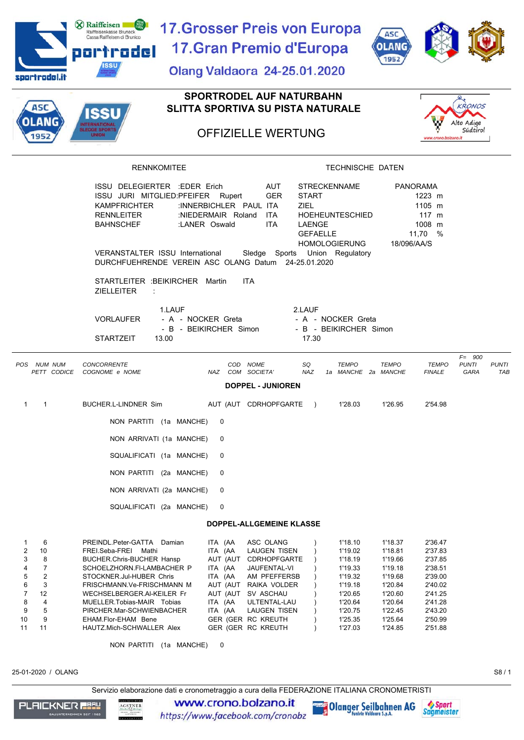| <b>X</b> Raiffeisen<br>Raiffeisenkasse Bruneck<br>Cassa Raiffeisen di Brunico              | 17.Grosser Preis von Europa                                                 |                                                         | <b>ASC</b>                                    |                                             |
|--------------------------------------------------------------------------------------------|-----------------------------------------------------------------------------|---------------------------------------------------------|-----------------------------------------------|---------------------------------------------|
| portrodel                                                                                  | 17. Gran Premio d'Europa                                                    |                                                         | <b>OLANG</b>                                  |                                             |
| ıssu                                                                                       | <b>Olang Valdaora 24-25.01.2020</b>                                         |                                                         | 1952                                          |                                             |
| sportrodel.it                                                                              |                                                                             |                                                         |                                               |                                             |
| ASC                                                                                        | <b>SPORTRODEL AUF NATURBAHN</b><br><b>SLITTA SPORTIVA SU PISTA NATURALE</b> |                                                         |                                               | <b>KRONOS</b>                               |
| SSU<br>LANG                                                                                |                                                                             |                                                         |                                               | Alto Adige                                  |
| <b>ILEDGE SPORTS</b><br><b>UNION</b><br>1952                                               | <b>OFFIZIELLE WERTUNG</b>                                                   |                                                         | www.crono.bolzano.it                          | Südtirol                                    |
| <b>RENNKOMITEE</b>                                                                         |                                                                             | TECHNISCHE DATEN                                        |                                               |                                             |
|                                                                                            |                                                                             |                                                         |                                               |                                             |
| ISSU DELEGIERTER : EDER Erich<br>ISSU JURI MITGLIED:PFEIFER Rupert                         | <b>AUT</b><br><b>GER</b>                                                    | <b>STRECKENNAME</b><br><b>START</b>                     | <b>PANORAMA</b><br>1223 m                     |                                             |
| <b>KAMPFRICHTER</b>                                                                        | :INNERBICHLER PAUL ITA                                                      | <b>ZIEL</b>                                             | 1105 m                                        |                                             |
| <b>RENNLEITER</b><br><b>BAHNSCHEF</b>                                                      | :NIEDERMAIR Roland<br>ITA.<br>:LANER Oswald<br><b>ITA</b>                   | HOEHEUNTESCHIED<br>LAENGE                               | $117 \text{ m}$<br>1008 m                     |                                             |
|                                                                                            |                                                                             | <b>GEFAELLE</b><br><b>HOMOLOGIERUNG</b>                 | 11,70 %                                       |                                             |
| VERANSTALTER ISSU International<br>DURCHFUEHRENDE VEREIN ASC OLANG Datum 24-25.01.2020     |                                                                             | Sledge Sports Union Regulatory                          | 18/096/AA/S                                   |                                             |
| STARTLEITER : BEIKIRCHER Martin<br><b>ZIELLEITER</b><br>÷                                  | <b>ITA</b>                                                                  |                                                         |                                               |                                             |
| 1.LAUF                                                                                     |                                                                             | 2.LAUF                                                  |                                               |                                             |
| <b>VORLAUFER</b><br>- A - NOCKER Greta                                                     |                                                                             | - A - NOCKER Greta                                      |                                               |                                             |
| <b>STARTZEIT</b><br>13.00                                                                  | - B - BEIKIRCHER Simon                                                      | - B - BEIKIRCHER Simon<br>17.30                         |                                               |                                             |
|                                                                                            |                                                                             |                                                         |                                               | $F = 900$                                   |
| POS NUM NUM<br><b>CONCORRENTE</b><br>PETT CODICE<br>COGNOME e NOME                         | COD NOME<br>NAZ COM SOCIETA'                                                | <b>TEMPO</b><br>SQ<br><b>NAZ</b><br>1a MANCHE 2a MANCHE | <b>TEMPO</b><br><b>TEMPO</b><br><b>FINALE</b> | <b>PUNTI</b><br><b>PUNTI</b><br>GARA<br>TAB |
|                                                                                            | <b>DOPPEL - JUNIOREN</b>                                                    |                                                         |                                               |                                             |
| BUCHER.L-LINDNER Sim<br>$\mathbf{1}$<br>1                                                  | AUT (AUT CDRHOPFGARTE                                                       | 1'28.03<br>$\rightarrow$                                | 1'26.95<br>2'54.98                            |                                             |
| NON PARTITI (1a MANCHE)                                                                    | 0                                                                           |                                                         |                                               |                                             |
| NON ARRIVATI (1a MANCHE)                                                                   | 0                                                                           |                                                         |                                               |                                             |
| SQUALIFICATI (1a MANCHE)                                                                   | 0                                                                           |                                                         |                                               |                                             |
| NON PARTITI (2a MANCHE)                                                                    | 0                                                                           |                                                         |                                               |                                             |
| NON ARRIVATI (2a MANCHE)                                                                   | 0                                                                           |                                                         |                                               |                                             |
| SQUALIFICATI (2a MANCHE)                                                                   | 0                                                                           |                                                         |                                               |                                             |
|                                                                                            | DOPPEL-ALLGEMEINE KLASSE                                                    |                                                         |                                               |                                             |
| PREINDL.Peter-GATTA Damian<br>1<br>6                                                       | ASC OLANG<br>ITA (AA                                                        | 1'18.10                                                 | 1'18.37<br>2'36.47                            |                                             |
| 2<br>10<br>FREI.Seba-FREI Mathi                                                            | ITA (AA<br>LAUGEN TISEN                                                     | 1'19.02                                                 | 1'18.81<br>2'37.83                            |                                             |
| 3<br>8<br><b>BUCHER.Chris-BUCHER Hansp</b><br>4<br>7<br>SCHOELZHORN.FI-LAMBACHER P         | AUT (AUT CDRHOPFGARTE<br>ITA (AA<br>JAUFENTAL-VI                            | 1'18.19<br>1'19.33                                      | 1'19.66<br>2'37.85<br>1'19.18<br>2'38.51      |                                             |
| $\overline{2}$<br>5<br>STOCKNER.Jul-HUBER Chris                                            | ITA (AA<br>AM PFEFFERSB                                                     | 1'19.32                                                 | 1'19.68<br>2'39.00                            |                                             |
| 3<br>6<br>FRISCHMANN.Ve-FRISCHMANN M                                                       | AUT (AUT RAIKA VOLDER                                                       | 1'19.18                                                 | 1'20.84<br>2'40.02                            |                                             |
| $\overline{7}$<br>12<br>WECHSELBERGER.AI-KEILER Fr<br>8<br>4<br>MUELLER.Tobias-MAIR Tobias | AUT (AUT SV ASCHAU<br>ITA (AA<br>ULTENTAL-LAU                               | 1'20.65<br>1'20.64                                      | 1'20.60<br>2'41.25<br>1'20.64<br>2'41.28      |                                             |
| 5<br>9<br>PIRCHER.Mar-SCHWIENBACHER                                                        | ITA (AA<br>LAUGEN TISEN                                                     | 1'20.75                                                 | 1'22.45<br>2'43.20                            |                                             |
| 9<br>10<br>EHAM.Flor-EHAM Bene<br>11                                                       | GER (GER RC KREUTH                                                          | 1'25.35                                                 | 1'25.64<br>2'50.99                            |                                             |
| 11<br>HAUTZ.Mich-SCHWALLER Alex                                                            | GER (GER RC KREUTH                                                          | 1'27.03                                                 | 1'24.85<br>2'51.88                            |                                             |
| NON PARTITI (1a MANCHE)                                                                    | 0                                                                           |                                                         |                                               |                                             |
| 25-01-2020 / OLANG                                                                         |                                                                             |                                                         |                                               | S8/1                                        |

Servizio elaborazione dati e cronometraggio a cura della FEDERAZIONE ITALIANA CRONOMETRISTI



www.crono.bolzano.it https://www.facebook.com/cronobz

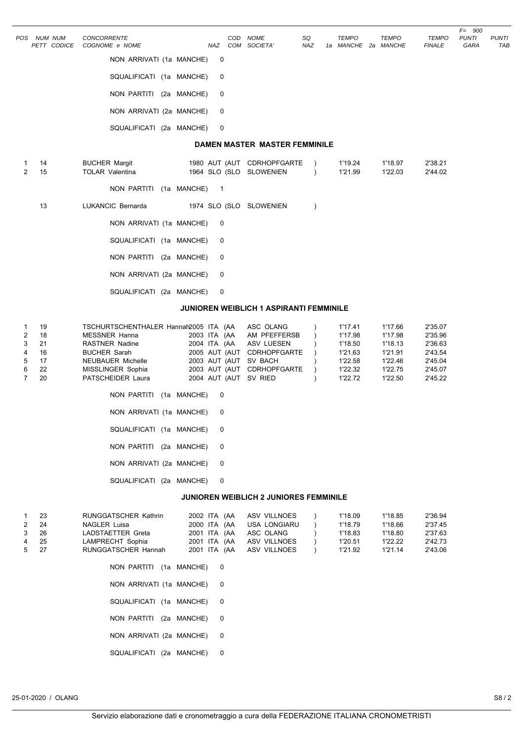|                                                           | POS NUM NUM                            | <b>CONCORRENTE</b>                                                                                                                                                                  |                                                       | COD NOME                                                                                                                     | SQ                     | <b>TEMPO</b>                                                              | <b>TEMPO</b>                                                              | <b>TEMPO</b>                                                              | $F = 900$<br><b>PUNTI</b> | <b>PUNTI</b> |
|-----------------------------------------------------------|----------------------------------------|-------------------------------------------------------------------------------------------------------------------------------------------------------------------------------------|-------------------------------------------------------|------------------------------------------------------------------------------------------------------------------------------|------------------------|---------------------------------------------------------------------------|---------------------------------------------------------------------------|---------------------------------------------------------------------------|---------------------------|--------------|
|                                                           | PETT CODICE                            | COGNOME e NOME                                                                                                                                                                      |                                                       | NAZ COM SOCIETA'                                                                                                             | NAZ                    | 1a MANCHE 2a MANCHE                                                       |                                                                           | <b>FINALE</b>                                                             | GARA                      | TAB          |
|                                                           |                                        | NON ARRIVATI (1a MANCHE)                                                                                                                                                            | 0                                                     |                                                                                                                              |                        |                                                                           |                                                                           |                                                                           |                           |              |
|                                                           |                                        | SQUALIFICATI (1a MANCHE)                                                                                                                                                            | 0                                                     |                                                                                                                              |                        |                                                                           |                                                                           |                                                                           |                           |              |
|                                                           |                                        | NON PARTITI (2a MANCHE)                                                                                                                                                             | 0                                                     |                                                                                                                              |                        |                                                                           |                                                                           |                                                                           |                           |              |
|                                                           |                                        | NON ARRIVATI (2a MANCHE)                                                                                                                                                            | 0                                                     |                                                                                                                              |                        |                                                                           |                                                                           |                                                                           |                           |              |
|                                                           |                                        | SQUALIFICATI (2a MANCHE)                                                                                                                                                            | 0                                                     |                                                                                                                              |                        |                                                                           |                                                                           |                                                                           |                           |              |
|                                                           |                                        |                                                                                                                                                                                     |                                                       | DAMEN MASTER MASTER FEMMINILE                                                                                                |                        |                                                                           |                                                                           |                                                                           |                           |              |
| 1<br>2                                                    | 14<br>15                               | <b>BUCHER Margit</b><br><b>TOLAR Valentina</b>                                                                                                                                      |                                                       | 1980 AUT (AUT CDRHOPFGARTE<br>1964 SLO (SLO SLOWENIEN                                                                        | $\lambda$<br>$\lambda$ | 1'19.24<br>1'21.99                                                        | 1'18.97<br>1'22.03                                                        | 2'38.21<br>2'44.02                                                        |                           |              |
|                                                           |                                        | NON PARTITI (1a MANCHE)                                                                                                                                                             | $\overline{1}$                                        |                                                                                                                              |                        |                                                                           |                                                                           |                                                                           |                           |              |
|                                                           | 13                                     | LUKANCIC Bernarda                                                                                                                                                                   |                                                       | 1974 SLO (SLO SLOWENIEN                                                                                                      | $\lambda$              |                                                                           |                                                                           |                                                                           |                           |              |
|                                                           |                                        | NON ARRIVATI (1a MANCHE)                                                                                                                                                            | 0                                                     |                                                                                                                              |                        |                                                                           |                                                                           |                                                                           |                           |              |
|                                                           |                                        | SQUALIFICATI (1a MANCHE)                                                                                                                                                            | 0                                                     |                                                                                                                              |                        |                                                                           |                                                                           |                                                                           |                           |              |
|                                                           |                                        | NON PARTITI (2a MANCHE)                                                                                                                                                             | 0                                                     |                                                                                                                              |                        |                                                                           |                                                                           |                                                                           |                           |              |
|                                                           |                                        | NON ARRIVATI (2a MANCHE)                                                                                                                                                            | 0                                                     |                                                                                                                              |                        |                                                                           |                                                                           |                                                                           |                           |              |
|                                                           |                                        | SQUALIFICATI (2a MANCHE)                                                                                                                                                            | 0                                                     |                                                                                                                              |                        |                                                                           |                                                                           |                                                                           |                           |              |
|                                                           |                                        |                                                                                                                                                                                     |                                                       | <b>JUNIOREN WEIBLICH 1 ASPIRANTI FEMMINILE</b>                                                                               |                        |                                                                           |                                                                           |                                                                           |                           |              |
| 1<br>$\overline{2}$<br>3<br>4<br>5<br>6<br>$\overline{7}$ | 19<br>18<br>21<br>16<br>17<br>22<br>20 | TSCHURTSCHENTHALER Hannah2005 ITA (AA<br><b>MESSNER Hanna</b><br><b>RASTNER Nadine</b><br><b>BUCHER Sarah</b><br><b>NEUBAUER Michelle</b><br>MISSLINGER Sophia<br>PATSCHEIDER Laura | 2003 ITA (AA<br>2004 ITA (AA<br>2004 AUT (AUT SV RIED | ASC OLANG<br>AM PFEFFERSB<br>ASV LUESEN<br>2005 AUT (AUT CDRHOPFGARTE<br>2003 AUT (AUT SV BACH<br>2003 AUT (AUT CDRHOPFGARTE |                        | 1'17.41<br>1'17.98<br>1'18.50<br>1'21.63<br>1'22.58<br>1'22.32<br>1'22.72 | 1'17.66<br>1'17.98<br>1'18.13<br>1'21.91<br>1'22.46<br>1'22.75<br>1'22.50 | 2'35.07<br>2'35.96<br>2'36.63<br>2'43.54<br>2'45.04<br>2'45.07<br>2'45.22 |                           |              |
|                                                           |                                        | NON PARTITI (1a MANCHE)                                                                                                                                                             | 0                                                     |                                                                                                                              |                        |                                                                           |                                                                           |                                                                           |                           |              |
|                                                           |                                        | NON ARRIVATI (1a MANCHE)                                                                                                                                                            | 0                                                     |                                                                                                                              |                        |                                                                           |                                                                           |                                                                           |                           |              |
|                                                           |                                        | SQUALIFICATI (1a MANCHE)                                                                                                                                                            | 0                                                     |                                                                                                                              |                        |                                                                           |                                                                           |                                                                           |                           |              |
|                                                           |                                        | NON PARTITI (2a MANCHE)                                                                                                                                                             | 0                                                     |                                                                                                                              |                        |                                                                           |                                                                           |                                                                           |                           |              |
|                                                           |                                        | NON ARRIVATI (2a MANCHE)                                                                                                                                                            | 0                                                     |                                                                                                                              |                        |                                                                           |                                                                           |                                                                           |                           |              |
|                                                           |                                        | SQUALIFICATI (2a MANCHE)                                                                                                                                                            | 0                                                     |                                                                                                                              |                        |                                                                           |                                                                           |                                                                           |                           |              |
|                                                           |                                        |                                                                                                                                                                                     |                                                       | JUNIOREN WEIBLICH 2 JUNIORES FEMMINILE                                                                                       |                        |                                                                           |                                                                           |                                                                           |                           |              |
| 1                                                         | 23                                     | RUNGGATSCHER Kathrin                                                                                                                                                                | 2002 ITA (AA                                          | ASV VILLNOES                                                                                                                 |                        | 1'18.09                                                                   | 1'18.85                                                                   | 2'36.94                                                                   |                           |              |

| - 1 23      | RUNGGATSUMER NAMIN        | ZUUZ IIA (AA | ASV VILLINUES             | 110.UY  | I 10.00 | 2 JO.Y4 |
|-------------|---------------------------|--------------|---------------------------|---------|---------|---------|
| 2 24        | NAGLER Luisa              |              | 2000 ITA (AA USA LONGIARU | 1'18.79 | 1'18.66 | 2'37.45 |
| $3\quad 26$ | LADSTAETTER Greta         |              | 2001 ITA (AA ASC OLANG    | 1'18.83 | 1'18.80 | 2'37.63 |
| 4 25        | LAMPRECHT Sophia          |              | 2001 ITA (AA ASV VILLNOES | 1'20.51 | 1'22.22 | 2'42.73 |
| 5 27        | RUNGGATSCHER Hannah       |              | 2001 ITA (AA ASV VILLNOES | 1'21.92 | 1'21.14 | 2'43.06 |
|             | NON PARTITI (1a MANCHE) 0 |              |                           |         |         |         |
|             | NON ARRIVATI (1a MANCHE)  |              |                           |         |         |         |

| SQUALIFICATI (1a MANCHE) | 0 |
|--------------------------|---|
| NON PARTITI (2a MANCHE)  | 0 |
| NON ARRIVATI (2a MANCHE) | 0 |
| SQUALIFICATI (2a MANCHE) | 0 |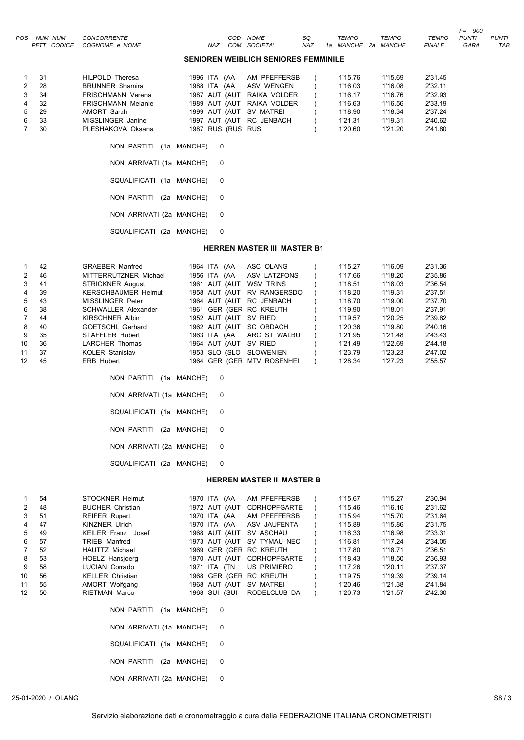|                |                               |                                      |                   |     |                                             |                  |                                     |              |                               | $F = 900$            |                            |
|----------------|-------------------------------|--------------------------------------|-------------------|-----|---------------------------------------------|------------------|-------------------------------------|--------------|-------------------------------|----------------------|----------------------------|
| POS.           | NUM NUM<br><b>PETT CODICE</b> | <b>CONCORRENTE</b><br>COGNOME e NOME | NAZ               | COD | <b>NOME</b><br>COM SOCIETA'                 | SQ<br><b>NAZ</b> | <b>TEMPO</b><br>1a MANCHE 2a MANCHE | <b>TEMPO</b> | <b>TEMPO</b><br><b>FINALE</b> | <b>PUNTI</b><br>GARA | <b>PUNTI</b><br><b>TAE</b> |
|                |                               |                                      |                   |     | <b>SENIOREN WEIBLICH SENIORES FEMMINILE</b> |                  |                                     |              |                               |                      |                            |
| 1              | 31                            | <b>HILPOLD Theresa</b>               | 1996 ITA (AA      |     | AM PFEFFERSB                                |                  | 1'15.76                             | 1'15.69      | 2'31.45                       |                      |                            |
| $\overline{2}$ | 28                            | <b>BRUNNER Shamira</b>               | 1988 ITA (AA      |     | ASV WENGEN                                  |                  | 1'16.03                             | 1'16.08      | 2'32.11                       |                      |                            |
| 3              | 34                            | <b>FRISCHMANN Verena</b>             | 1987 AUT (AUT     |     | RAIKA VOLDER                                |                  | 1'16.17                             | 1'16.76      | 2'32.93                       |                      |                            |
| 4              | 32                            | <b>FRISCHMANN Melanie</b>            | 1989 AUT (AUT     |     | RAIKA VOLDER                                |                  | 1'16.63                             | 1'16.56      | 2'33.19                       |                      |                            |
| 5              | 29                            | AMORT Sarah                          | 1999 AUT (AUT     |     | SV MATREI                                   |                  | 1'18.90                             | 1'18.34      | 2'37.24                       |                      |                            |
| 6              | 33                            | MISSLINGER Janine                    | 1997 AUT (AUT     |     | RC JENBACH                                  |                  | 1'21.31                             | 1'19.31      | 2'40.62                       |                      |                            |
| $\overline{7}$ | 30                            | PLESHAKOVA Oksana                    | 1987 RUS (RUS RUS |     |                                             |                  | 1'20.60                             | 1'21.20      | 2'41.80                       |                      |                            |
|                |                               | NON PARTITI (1a MANCHE)              | 0                 |     |                                             |                  |                                     |              |                               |                      |                            |
|                |                               | NON ARRIVATI (1a MANCHE)             | 0                 |     |                                             |                  |                                     |              |                               |                      |                            |
|                |                               | SQUALIFICATI (1a MANCHE)             | 0                 |     |                                             |                  |                                     |              |                               |                      |                            |
|                |                               | NON PARTITI                          | (2a MANCHE)<br>0  |     |                                             |                  |                                     |              |                               |                      |                            |
|                |                               | NON ARRIVATI (2a MANCHE)             | 0                 |     |                                             |                  |                                     |              |                               |                      |                            |
|                |                               | SQUALIFICATI (2a MANCHE)             | 0                 |     |                                             |                  |                                     |              |                               |                      |                            |

#### **HERREN MASTER III MASTER B1**

|                 | 42 | <b>GRAEBER Manfred</b>     | 1964 ITA (AA          | ASC OLANG                  | 1'15.27 | 1'16.09 | 2'31.36 |
|-----------------|----|----------------------------|-----------------------|----------------------------|---------|---------|---------|
| 2               | 46 | MITTERRUTZNER Michael      | 1956 ITA (AA          | ASV LATZFONS               | 1'17.66 | 1'18.20 | 2'35.86 |
| 3               | 41 | <b>STRICKNER August</b>    | 1961 AUT (AUT         | WSV TRINS                  | 1'18.51 | 1'18.03 | 2'36.54 |
| $\overline{4}$  | 39 | <b>KERSCHBAUMER Helmut</b> | 1958 AUT (AUT         | <b>RV RANGERSDO</b>        | 1'18.20 | 1'19.31 | 2'37.51 |
| 5               | 43 | MISSLINGER Peter           |                       | 1964 AUT (AUT RC JENBACH   | 1'18.70 | 1'19.00 | 2'37.70 |
| 6               | 38 | <b>SCHWALLER Alexander</b> |                       | 1961 GER (GER RC KREUTH    | 1'19.90 | 1'18.01 | 2'37.91 |
| $7^{\circ}$     | 44 | <b>KIRSCHNER Albin</b>     | 1952 AUT (AUT SV RIED |                            | 1'19.57 | 1'20.25 | 2'39.82 |
| 8               | 40 | <b>GOETSCHL Gerhard</b>    | 1962 AUT (AUT         | SC OBDACH                  | 1'20.36 | 1'19.80 | 2'40.16 |
| 9               | 35 | STAFFLER Hubert            |                       | 1963 ITA (AA ARC ST WALBU  | 1'21.95 | 1'21.48 | 2'43.43 |
| 10 <sup>1</sup> | 36 | <b>LARCHER Thomas</b>      | 1964 AUT (AUT         | SV RIED                    | 1'21.49 | 1'22.69 | 2'44.18 |
| 11              | 37 | <b>KOLER Stanislav</b>     | 1953 SLO (SLO         | <b>SLOWENIEN</b>           | 1'23.79 | 1'23.23 | 2'47.02 |
| 12 <sup>2</sup> | 45 | <b>ERB Hubert</b>          |                       | 1964 GER (GER MTV ROSENHEI | 1'28.34 | 1'27.23 | 2'55.57 |

| NON PARTITI (1a MANCHE)  | 0 |
|--------------------------|---|
| NON ARRIVATI (1a MANCHE) | 0 |
| SQUALIFICATI (1a MANCHE) | 0 |
| NON PARTITI (2a MANCHE)  | 0 |
| NON ARRIVATI (2a MANCHE) | 0 |
| SQUALIFICATI (2a MANCHE) | 0 |

#### **HERREN MASTER II MASTER B**

|                   | 54 | STOCKNER Helmut          | 1970 ITA (AA  | AM PFEFFERSB               | 1'15.67<br>1'15.27 | 2'30.94 |
|-------------------|----|--------------------------|---------------|----------------------------|--------------------|---------|
| $\overline{2}$    | 48 | <b>BUCHER Christian</b>  | 1972 AUT (AUT | <b>CDRHOPFGARTE</b>        | 1'15.46<br>1'16.16 | 2'31.62 |
| 3                 | 51 | <b>REIFER Rupert</b>     | 1970 ITA (AA  | AM PFEFFERSB               | 1'15.94<br>1'15.70 | 2'31.64 |
| 4                 | 47 | <b>KINZNER Ulrich</b>    |               | 1970 ITA (AA ASV JAUFENTA  | 1'15.89<br>1'15.86 | 2'31.75 |
| 5                 | 49 | KEILER Franz Josef       |               | 1968 AUT (AUT SV ASCHAU    | 1'16.33<br>1'16.98 | 2'33.31 |
| 6                 | 57 | <b>TRIEB Manfred</b>     |               | 1973 AUT (AUT SV TYMAU NEC | 1'16.81<br>1'17.24 | 2'34.05 |
| $\overline{7}$    | 52 | HAUTTZ Michael           |               | 1969 GER (GER RC KREUTH    | 1'17.80<br>1'18.71 | 2'36.51 |
| 8                 | 53 | <b>HOELZ Hansjoerg</b>   |               | 1970 AUT (AUT CDRHOPFGARTE | 1'18.43<br>1'18.50 | 2'36.93 |
| 9                 | 58 | LUCIAN Corrado           | 1971 ITA (TN  | US PRIMIERO                | 1'17.26<br>1'20.11 | 2'37.37 |
| 10                | 56 | <b>KELLER Christian</b>  |               | 1968 GER (GER RC KREUTH    | 1'19.75<br>1'19.39 | 2'39.14 |
| 11                | 55 | AMORT Wolfgang           |               | 1968 AUT (AUT SV MATREI    | 1'20.46<br>1'21.38 | 2'41.84 |
| $12 \overline{ }$ | 50 | RIETMAN Marco            | 1968 SUI (SUI | RODELCLUB DA               | 1'20.73<br>1'21.57 | 2'42.30 |
|                   |    | NON PARTITI (1a MANCHE)  | 0             |                            |                    |         |
|                   |    | NON ARRIVATI (1a MANCHE) | 0             |                            |                    |         |
|                   |    | SQUALIFICATI (1a MANCHE) | 0             |                            |                    |         |
|                   |    | NON PARTITI (2a MANCHE)  | $\mathbf 0$   |                            |                    |         |
|                   |    | NON ARRIVATI (2a MANCHE) | 0             |                            |                    |         |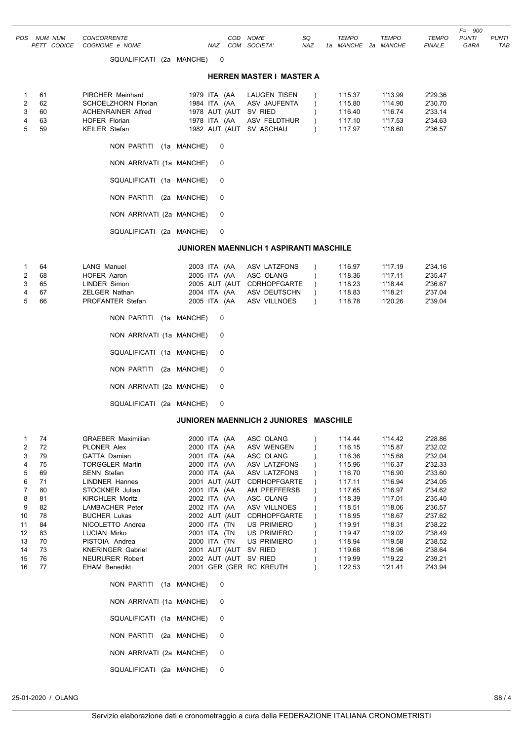|             |                            |  |     |              |     |                     |              |               | F=<br>900    |              |
|-------------|----------------------------|--|-----|--------------|-----|---------------------|--------------|---------------|--------------|--------------|
| POS NUM NUM | CONCORRENTE                |  |     | COD NOME     | SQ. | <b>TEMPO</b>        | <b>TEMPO</b> | TEMPO         | <b>PUNTI</b> | <b>PUNTI</b> |
|             | PETT CODICE COGNOME e NOME |  | NAZ | COM SOCIETA' | NAZ | 1a MANCHE 2a MANCHE |              | <b>FINALE</b> | GARA         | TAB          |
|             | SQUALIFICATI (2a MANCHE)   |  |     |              |     |                     |              |               |              |              |

#### **HERREN MASTER I MASTER A**

| 1 61 | PIRCHER Meinhard          |                         | 1979 ITA (AA LAUGEN TISEN | 1'15.37 | 1'13.99 | 2'29.36 |
|------|---------------------------|-------------------------|---------------------------|---------|---------|---------|
| 2 62 | SCHOELZHORN Florian       |                         | 1984 ITA (AA ASV JAUFENTA | 1'15.80 | 1'14.90 | 2'30.70 |
| 3 60 | <b>ACHENRAINER Alfred</b> | 1978 AUT (AUT SV RIED   |                           | 1'16.40 | 1'16.74 | 2'33.14 |
| 4 63 | <b>HOFER Florian</b>      |                         | 1978 ITA (AA ASV FELDTHUR | 1'17.10 | 1'17.53 | 2'34.63 |
| 5 59 | KEILER Stefan             | 1982 AUT (AUT SV ASCHAU |                           | 1'17.97 | 1'18.60 | 2'36.57 |
|      | NON PARTITI (1a MANCHE) 0 |                         |                           |         |         |         |

|  | $\cdots$                 |  |   |
|--|--------------------------|--|---|
|  | NON ARRIVATI (1a MANCHE) |  | 0 |
|  | SQUALIFICATI (1a MANCHE) |  | 0 |
|  | NON PARTITI (2a MANCHE)  |  | 0 |
|  | NON ARRIVATI (2a MANCHE) |  | 0 |
|  | SQUALIFICATI (2a MANCHE) |  | 0 |

#### **JUNIOREN MAENNLICH 1 ASPIRANTI MASCHILE**

| 1 64 | LANG Manuel              |              |                | 2003 ITA (AA ASV LATZFONS  | 1'16.97 | 1'17.19 | 2'34.16 |
|------|--------------------------|--------------|----------------|----------------------------|---------|---------|---------|
| 2 68 | <b>HOFER Aaron</b>       | 2005 ITA (AA |                | ASC OLANG                  | 1'18.36 | 1'17.11 | 2'35.47 |
| 3 65 | LINDER Simon             |              |                | 2005 AUT (AUT CDRHOPFGARTE | 1'18.23 | 1'18.44 | 2'36.67 |
| 4 67 | <b>ZELGER Nathan</b>     |              |                | 2004 ITA (AA ASV DEUTSCHN  | 1'18.83 | 1'18.21 | 2'37.04 |
| 5 66 | PROFANTER Stefan         |              |                | 2005 ITA (AA ASV VILLNOES  | 1'18.78 | 1'20.26 | 2'39.04 |
|      | NON PARTITI (1a MANCHE)  |              | $\overline{0}$ |                            |         |         |         |
|      | NON ARRIVATI (1a MANCHE) |              | - 0            |                            |         |         |         |

| NON ARRIVATI (1a MANCHE) | 0 |
|--------------------------|---|
| SQUALIFICATI (1a MANCHE) | 0 |
| NON PARTITI (2a MANCHE)  | 0 |
| NON ARRIVATI (2a MANCHE) | 0 |
| SQUALIFICATI (2a MANCHE) | 0 |

## **JUNIOREN MAENNLICH 2 JUNIORES MASCHILE**

|    | 74 | <b>GRAEBER Maximilian</b> | 2000 ITA | (AA             | ASC OLANG                  | 1'14.44 | 1'14.42 | 2'28.86 |
|----|----|---------------------------|----------|-----------------|----------------------------|---------|---------|---------|
| 2  | 72 | <b>PLONER Alex</b>        | 2000 ITA | (AA             | <b>ASV WENGEN</b>          | 1'16.15 | 1'15.87 | 2'32.02 |
| 3  | 79 | <b>GATTA Damian</b>       | 2001     | ITA<br>(AA      | ASC OLANG                  | 1'16.36 | 1'15.68 | 2'32.04 |
| 4  | 75 | <b>TORGGLER Martin</b>    | 2000 ITA | (AA             | ASV LATZFONS               | 1'15.96 | 1'16.37 | 2'32.33 |
| 5  | 69 | <b>SENN Stefan</b>        | 2000     | ITA<br>(AA      | ASV LATZFONS               | 1'16.70 | 1'16.90 | 2'33.60 |
| 6  | 71 | <b>LINDNER Hannes</b>     | 2001     | AUT (AUT        | <b>CDRHOPFGARTE</b>        | 1'17.11 | 1'16.94 | 2'34.05 |
|    | 80 | STOCKNER Julian           | 2001     | ITA (AA         | AM PFEFFERSB               | 1'17.65 | 1'16.97 | 2'34.62 |
| 8  | 81 | <b>KIRCHLER Moritz</b>    |          | 2002 ITA<br>(AA | ASC OLANG                  | 1'18.39 | 1'17.01 | 2'35.40 |
| 9  | 82 | LAMBACHER Peter           |          | 2002 ITA<br>(AA | ASV VILLNOES               | 1'18.51 | 1'18.06 | 2'36.57 |
| 10 | 78 | <b>BUCHER Lukas</b>       |          | 2002 AUT (AUT   | <b>CDRHOPFGARTE</b>        | 1'18.95 | 1'18.67 | 2'37.62 |
| 11 | 84 | NICOLETTO Andrea          | 2000 ITA | (TN             | <b>US PRIMIERO</b>         | 1'19.91 | 1'18.31 | 2'38.22 |
| 12 | 83 | <b>LUCIAN Mirko</b>       | 2001     | ITA<br>(TN      | US PRIMIERO                | 1'19.47 | 1'19.02 | 2'38.49 |
| 13 | 70 | PISTOIA Andrea            | 2000     | (TN<br>ITA      | <b>US PRIMIERO</b>         | 1'18.94 | 1'19.58 | 2'38.52 |
| 14 | 73 | <b>KNERINGER Gabriel</b>  | 2001     | AUT (AUT        | SV RIED                    | 1'19.68 | 1'18.96 | 2'38.64 |
| 15 | 76 | <b>NEURURER Robert</b>    |          | 2002 AUT (AUT   | SV RIED                    | 1'19.99 | 1'19.22 | 2'39.21 |
| 16 | 77 | <b>EHAM Benedikt</b>      | 2001     |                 | <b>GER (GER RC KREUTH)</b> | 1'22.53 | 1'21.41 | 2'43.94 |

| NON PARTITI (1a MANCHE)  | $\Omega$ |
|--------------------------|----------|
| NON ARRIVATI (1a MANCHE) | 0        |
| SQUALIFICATI (1a MANCHE) | $\Omega$ |
| NON PARTITI (2a MANCHE)  | $\Omega$ |
| NON ARRIVATI (2a MANCHE) | 0        |
| SQUALIFICATI (2a MANCHE) | 0        |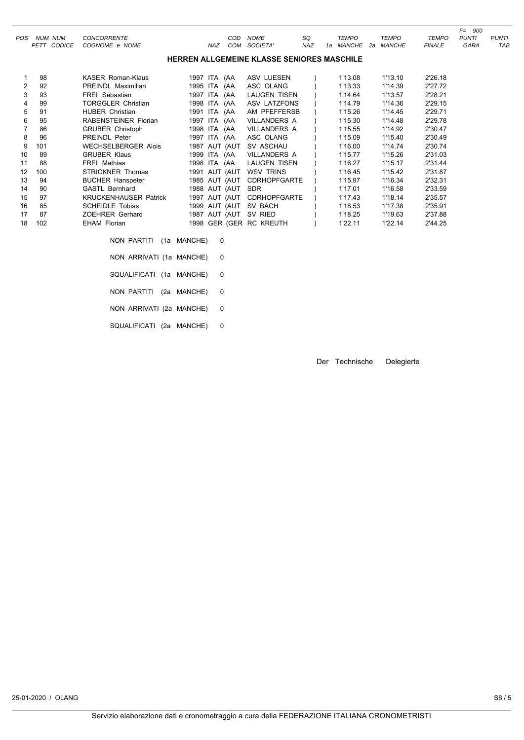| <b>POS</b>     | NUM<br>NUM                                        | <b>CONCORRENTE</b>         |              | COD        | <b>NOME</b>         | SQ  |    | TEMPO         |    | <b>TEMPO</b>  | <b>TEMPO</b>  | $F=$<br>900<br><b>PUNTI</b> | <b>PUNTI</b> |
|----------------|---------------------------------------------------|----------------------------|--------------|------------|---------------------|-----|----|---------------|----|---------------|---------------|-----------------------------|--------------|
|                | <b>PETT CODICE</b>                                | COGNOME e NOME             |              | NAZ<br>COM | SOCIETA'            | NAZ | 1a | <i>MANCHE</i> | 2а | <b>MANCHE</b> | <b>FINALE</b> | GARA                        | TAB          |
|                | <b>HERREN ALLGEMEINE KLASSE SENIORES MASCHILE</b> |                            |              |            |                     |     |    |               |    |               |               |                             |              |
|                | 98                                                | <b>KASER Roman-Klaus</b>   | 1997 ITA (AA |            | ASV LUESEN          |     |    | 1'13.08       |    | 1'13.10       | 2'26.18       |                             |              |
| $\overline{2}$ | 92                                                | <b>PREINDL Maximilian</b>  | 1995 ITA (AA |            | ASC OLANG           |     |    | 1'13.33       |    | 1'14.39       | 2'27.72       |                             |              |
| 3              | 93                                                | <b>FREI</b> Sebastian      | 1997 ITA (AA |            | LAUGEN TISEN        |     |    | 1'14.64       |    | 1'13.57       | 2'28.21       |                             |              |
| 4              | 99                                                | <b>TORGGLER Christian</b>  | 1998 ITA (AA |            | ASV LATZFONS        |     |    | 1'14.79       |    | 1'14.36       | 2'29.15       |                             |              |
| 5              | 91                                                | <b>HUBER Christian</b>     | 1991 ITA (AA |            | AM PFEFFERSB        |     |    | 1'15.26       |    | 1'14.45       | 2'29.71       |                             |              |
| 6              | 95                                                | RABENSTEINER Florian       | 1997 ITA (AA |            | <b>VILLANDERS A</b> |     |    | 1'15.30       |    | 1'14.48       | 2'29.78       |                             |              |
|                | 86                                                | <b>GRUBER Christoph</b>    | 1998 ITA (AA |            | VILLANDERS A        |     |    | 1'15.55       |    | 1'14.92       | 2'30.47       |                             |              |
| 8              | 96                                                | <b>PREINDL Peter</b>       | 1997 ITA (AA |            | ASC OLANG           |     |    | 1'15.09       |    | 1'15.40       | 2'30.49       |                             |              |
| 9              | 101                                               | <b>WECHSELBERGER Alois</b> | 1987         | AUT (AUT   | SV ASCHAU           |     |    | 1'16.00       |    | 1'14.74       | 2'30.74       |                             |              |
| 10             | 89                                                | <b>GRUBER Klaus</b>        | 1999 ITA     | (AA        | <b>VILLANDERS A</b> |     |    | 1'15.77       |    | 1'15.26       | 2'31.03       |                             |              |

11 88 FREI Mathias 1998 ITA (AA LAUGEN TISEN ) 1'16.27 1'15.17 2'31.44 12 100 STRICKNER Thomas 1991 AUT (AUT WSV TRINS ) 1'16.45 1'15.42 2'31.87

| 13 | 94  | <b>BUCHER Hanspeter</b>      |             | 1985 AUT (AUT | <b>CDRHOPFGARTE</b>     | 1'15.97 | 1'16.34 | 2'32.31 |
|----|-----|------------------------------|-------------|---------------|-------------------------|---------|---------|---------|
| 14 | 90  | <b>GASTL Bernhard</b>        |             | 1988 AUT (AUT | SDR                     | 1'17.01 | 1'16.58 | 2'33.59 |
| 15 | 97  | <b>KRUCKENHAUSER Patrick</b> |             | 1997 AUT (AUT | <b>CDRHOPFGARTE</b>     | 1'17.43 | 1'18.14 | 2'35.57 |
| 16 | 85  | <b>SCHEIDLE Tobias</b>       |             | 1999 AUT (AUT | SV BACH                 | 1'18.53 | 1'17.38 | 2'35.91 |
| 17 | 87  | ZOEHRER Gerhard              |             | 1987 AUT (AUT | SV RIED                 | 1'18.25 | 1'19.63 | 2'37.88 |
| 18 | 102 | EHAM Florian                 |             |               | 1998 GER (GER RC KREUTH | 1'22.11 | 1'22.14 | 2'44.25 |
|    |     | NON PARTITI                  | (1a MANCHE) | 0             |                         |         |         |         |
|    |     | NON ARRIVATI (1a MANCHE)     |             | 0             |                         |         |         |         |
|    |     | SQUALIFICATI (1a MANCHE)     |             | 0             |                         |         |         |         |
|    |     | NON PARTITI                  | (2a MANCHE) | 0             |                         |         |         |         |
|    |     | NON ARRIVATI (2a MANCHE)     |             | 0             |                         |         |         |         |

SQUALIFICATI (2a MANCHE) 0

Der Technische Delegierte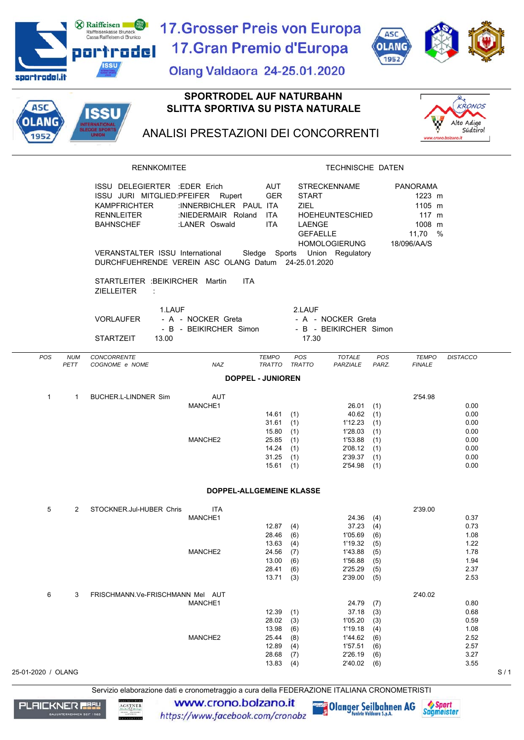|                      |                           | <b>X</b> Raiffeisen<br>Raiffeisenkasse Bruneck<br>Cassa Raiffeisen di Brunico                                                                                                                                                | <b>17. Grosser Preis von Europa</b>                           |                                                                         |                                                                 |                                                                                                         | <b>ASC</b>                                           |                                                                                            |                                                              |
|----------------------|---------------------------|------------------------------------------------------------------------------------------------------------------------------------------------------------------------------------------------------------------------------|---------------------------------------------------------------|-------------------------------------------------------------------------|-----------------------------------------------------------------|---------------------------------------------------------------------------------------------------------|------------------------------------------------------|--------------------------------------------------------------------------------------------|--------------------------------------------------------------|
|                      |                           | portrodel                                                                                                                                                                                                                    | 17. Gran Premio d'Europa                                      |                                                                         |                                                                 |                                                                                                         | <b>OLANG</b><br>1952                                 |                                                                                            |                                                              |
| sportrodel.it        |                           | ISSU                                                                                                                                                                                                                         | <b>Olang Valdaora 24-25.01.2020</b>                           |                                                                         |                                                                 |                                                                                                         |                                                      |                                                                                            |                                                              |
|                      |                           |                                                                                                                                                                                                                              | <b>SPORTRODEL AUF NATURBAHN</b>                               |                                                                         |                                                                 |                                                                                                         |                                                      |                                                                                            |                                                              |
| <b>ASC</b>           |                           | ISSU                                                                                                                                                                                                                         | <b>SLITTA SPORTIVA SU PISTA NATURALE</b>                      |                                                                         |                                                                 |                                                                                                         |                                                      |                                                                                            | KRONOS                                                       |
| <b>DLANG</b><br>1952 |                           | NTERNATIONAL<br>SLEDGE SPORTS<br><b>UNION</b>                                                                                                                                                                                | ANALISI PRESTAZIONI DEI CONCORRENTI                           |                                                                         |                                                                 |                                                                                                         |                                                      | www.crono.bolzano.it                                                                       | Alto Adige<br>Südtirol                                       |
|                      |                           | <b>RENNKOMITEE</b>                                                                                                                                                                                                           |                                                               |                                                                         |                                                                 | TECHNISCHE DATEN                                                                                        |                                                      |                                                                                            |                                                              |
|                      |                           | ISSU DELEGIERTER : EDER Erich<br>ISSU JURI MITGLIED:PFEIFER Rupert<br><b>KAMPFRICHTER</b><br><b>RENNLEITER</b><br><b>BAHNSCHEF</b><br>VERANSTALTER ISSU International<br>DURCHFUEHRENDE VEREIN ASC OLANG Datum 24-25.01.2020 | :INNERBICHLER PAUL ITA<br>:NIEDERMAIR Roland<br>:LANER Oswald | <b>AUT</b><br><b>GER</b><br><b>ITA</b><br><b>ITA</b>                    | <b>START</b><br><b>ZIEL</b><br><b>LAENGE</b><br><b>GEFAELLE</b> | <b>STRECKENNAME</b><br><b>HOEHEUNTESCHIED</b><br><b>HOMOLOGIERUNG</b><br>Sledge Sports Union Regulatory |                                                      | <b>PANORAMA</b><br>1223 m<br>1105 m<br>$117 \text{ m}$<br>1008 m<br>11,70 %<br>18/096/AA/S |                                                              |
|                      |                           | STARTLEITER : BEIKIRCHER Martin<br><b>ZIELLEITER</b><br>$\cdot$ :                                                                                                                                                            | <b>ITA</b>                                                    |                                                                         |                                                                 |                                                                                                         |                                                      |                                                                                            |                                                              |
|                      |                           | 1.LAUF<br><b>VORLAUFER</b><br><b>STARTZEIT</b><br>13.00                                                                                                                                                                      | - A - NOCKER Greta<br>- B - BEIKIRCHER Simon                  |                                                                         | 2.LAUF<br>17.30                                                 | - A - NOCKER Greta<br>- B - BEIKIRCHER Simon                                                            |                                                      |                                                                                            |                                                              |
| POS                  | <b>NUM</b><br><b>PETT</b> | CONCORRENTE<br>COGNOME e NOME                                                                                                                                                                                                | <b>NAZ</b>                                                    | <b>TEMPO</b><br><b>TRATTO</b>                                           | POS<br><b>TRATTO</b>                                            | <b>TOTALE</b><br>PARZIALE                                                                               | POS<br>PARZ.                                         | <b>TEMPO</b><br><b>FINALE</b>                                                              | <b>DISTACCO</b>                                              |
|                      |                           |                                                                                                                                                                                                                              |                                                               | <b>DOPPEL - JUNIOREN</b>                                                |                                                                 |                                                                                                         |                                                      |                                                                                            |                                                              |
| $\mathbf{1}$         | 1                         | <b>BUCHER.L-LINDNER Sim</b>                                                                                                                                                                                                  | <b>AUT</b>                                                    |                                                                         |                                                                 |                                                                                                         |                                                      | 2'54.98                                                                                    |                                                              |
|                      |                           |                                                                                                                                                                                                                              | MANCHE1<br>MANCHE2                                            | $14.61$ (1)<br>31.61<br>15.80<br>25.85<br>14.24<br>31.25<br>$15.61$ (1) | (1)<br>(1)<br>(1)<br>(1)<br>(1)                                 | $26.01$ (1)<br>$40.62$ (1)<br>1'12.23<br>1'28.03<br>1'53.88<br>2'08.12<br>2'39.37<br>2'54.98            | (1)<br>(1)<br>(1)<br>(1)<br>(1)<br>(1)               |                                                                                            | 0.00<br>0.00<br>0.00<br>0.00<br>0.00<br>0.00<br>0.00<br>0.00 |
|                      |                           |                                                                                                                                                                                                                              | DOPPEL-ALLGEMEINE KLASSE                                      |                                                                         |                                                                 |                                                                                                         |                                                      |                                                                                            |                                                              |
| 5                    | 2                         | STOCKNER.Jul-HUBER Chris                                                                                                                                                                                                     | <b>ITA</b><br>MANCHE1<br>MANCHE2                              | 12.87<br>28.46<br>13.63<br>24.56<br>13.00<br>28.41<br>13.71(3)          | (4)<br>(6)<br>(4)<br>(7)<br>(6)<br>(6)                          | 24.36<br>37.23<br>1'05.69<br>1'19.32<br>1'43.88<br>1'56.88<br>2'25.29<br>2'39.00                        | (4)<br>(4)<br>(6)<br>(5)<br>(5)<br>(5)<br>(5)<br>(5) | 2'39.00                                                                                    | 0.37<br>0.73<br>1.08<br>1.22<br>1.78<br>1.94<br>2.37<br>2.53 |
| 6                    | 3                         | FRISCHMANN.Ve-FRISCHMANN Mel AUT                                                                                                                                                                                             | MANCHE1                                                       | 12.39<br>28.02<br>13.98                                                 | (1)<br>(3)<br>(6)                                               | 24.79<br>37.18<br>1'05.20<br>1'19.18                                                                    | (7)<br>(3)<br>(3)<br>(4)                             | 2'40.02                                                                                    | 0.80<br>0.68<br>0.59<br>1.08                                 |
| 25-01-2020 / OLANG   |                           |                                                                                                                                                                                                                              | MANCHE2                                                       | 25.44<br>12.89<br>28.68<br>13.83                                        | (8)<br>(4)<br>(7)<br>(4)                                        | 1'44.62<br>1'57.51<br>2'26.19<br>2'40.02                                                                | (6)<br>(6)<br>(6)<br>(6)                             |                                                                                            | 2.52<br>2.57<br>3.27<br>3.55<br>S/1                          |

Servizio elaborazione dati e cronometraggio a cura della FEDERAZIONE ITALIANA CRONOMETRISTI



www.crono.bolzano.it https://www.facebook.com/cronobz

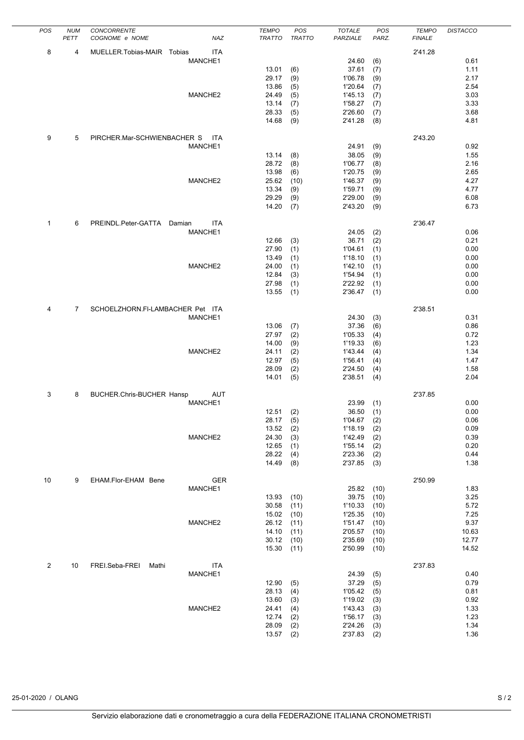| POS          | <b>NUM</b>     | <b>CONCORRENTE</b>               |            | <b>TEMPO</b>   | POS           | <b>TOTALE</b>      | POS        | <b>TEMPO</b>  | <b>DISTACCO</b> |
|--------------|----------------|----------------------------------|------------|----------------|---------------|--------------------|------------|---------------|-----------------|
|              | PETT           | COGNOME e NOME                   | NAZ        | TRATTO         | <b>TRATTO</b> | PARZIALE           | PARZ.      | <b>FINALE</b> |                 |
| 8            | 4              | MUELLER.Tobias-MAIR Tobias       | ITA        |                |               |                    |            | 2'41.28       |                 |
|              |                |                                  | MANCHE1    |                |               | 24.60              | (6)        |               | 0.61            |
|              |                |                                  |            | 13.01          | (6)           | 37.61              | (7)        |               | 1.11            |
|              |                |                                  |            | 29.17          | (9)           | 1'06.78            | (9)        |               | 2.17            |
|              |                |                                  |            | 13.86          | (5)           | 1'20.64            | (7)        |               | 2.54            |
|              |                |                                  | MANCHE2    | 24.49          | (5)           | 1'45.13            | (7)        |               | 3.03            |
|              |                |                                  |            | 13.14<br>28.33 | (7)<br>(5)    | 1'58.27<br>2'26.60 | (7)        |               | 3.33<br>3.68    |
|              |                |                                  |            | 14.68          | (9)           | 2'41.28            | (7)<br>(8) |               | 4.81            |
|              |                |                                  |            |                |               |                    |            |               |                 |
| 9            | 5              | PIRCHER.Mar-SCHWIENBACHER S      | <b>ITA</b> |                |               |                    |            | 2'43.20       |                 |
|              |                |                                  | MANCHE1    |                |               | 24.91              | (9)        |               | 0.92            |
|              |                |                                  |            | 13.14          | (8)           | 38.05              | (9)        |               | 1.55            |
|              |                |                                  |            | 28.72          | (8)           | 1'06.77            | (8)        |               | 2.16            |
|              |                |                                  |            | 13.98          | (6)           | 1'20.75            | (9)        |               | 2.65            |
|              |                |                                  | MANCHE2    | 25.62          | (10)          | 1'46.37            | (9)        |               | 4.27            |
|              |                |                                  |            | 13.34          | (9)           | 1'59.71            | (9)        |               | 4.77            |
|              |                |                                  |            | 29.29<br>14.20 | (9)<br>(7)    | 2'29.00<br>2'43.20 | (9)<br>(9) |               | 6.08<br>6.73    |
|              |                |                                  |            |                |               |                    |            |               |                 |
| $\mathbf{1}$ | 6              | PREINDL.Peter-GATTA<br>Damian    | ITA        |                |               |                    |            | 2'36.47       |                 |
|              |                |                                  | MANCHE1    |                |               | 24.05              | (2)        |               | 0.06            |
|              |                |                                  |            | 12.66          | (3)           | 36.71              | (2)        |               | 0.21            |
|              |                |                                  |            | 27.90          | (1)           | 1'04.61            | (1)        |               | 0.00            |
|              |                |                                  |            | 13.49          | (1)           | 1'18.10            | (1)        |               | 0.00            |
|              |                |                                  | MANCHE2    | 24.00          | (1)           | 1'42.10            | (1)        |               | 0.00            |
|              |                |                                  |            | 12.84          | (3)           | 1'54.94            | (1)        |               | 0.00            |
|              |                |                                  |            | 27.98          | (1)           | 2'22.92            | (1)        |               | 0.00            |
|              |                |                                  |            | 13.55          | (1)           | 2'36.47            | (1)        |               | 0.00            |
| 4            | $\overline{7}$ | SCHOELZHORN.FI-LAMBACHER Pet ITA |            |                |               |                    |            | 2'38.51       |                 |
|              |                |                                  | MANCHE1    |                |               | 24.30              | (3)        |               | 0.31            |
|              |                |                                  |            | 13.06          | (7)           | 37.36              | (6)        |               | 0.86            |
|              |                |                                  |            | 27.97          | (2)           | 1'05.33            | (4)        |               | 0.72            |
|              |                |                                  |            | 14.00          | (9)           | 1'19.33            | (6)        |               | 1.23            |
|              |                |                                  | MANCHE2    | 24.11          | (2)           | 1'43.44            | (4)        |               | 1.34            |
|              |                |                                  |            | 12.97          | (5)           | 1'56.41            | (4)        |               | 1.47            |
|              |                |                                  |            | 28.09          | (2)           | 2'24.50            | (4)        |               | 1.58            |
|              |                |                                  |            | 14.01          | (5)           | 2'38.51            | (4)        |               | 2.04            |
| 3            | 8              | <b>BUCHER.Chris-BUCHER Hansp</b> | <b>AUT</b> |                |               |                    |            | 2'37.85       |                 |
|              |                |                                  | MANCHE1    |                |               | 23.99              | (1)        |               | 0.00            |
|              |                |                                  |            | 12.51          | (2)           | 36.50              | (1)        |               | 0.00            |
|              |                |                                  |            | $28.17$ (5)    |               | $1'04.67$ (2)      |            |               | 0.06            |
|              |                |                                  |            | 13.52          | (2)           | 1'18.19            | (2)        |               | 0.09            |
|              |                |                                  | MANCHE2    | 24.30          | (3)           | 1'42.49            | (2)        |               | 0.39            |
|              |                |                                  |            | 12.65          | (1)           | 1'55.14            | (2)        |               | 0.20            |
|              |                |                                  |            | 28.22          | (4)           | 2'23.36            | (2)        |               | 0.44            |
|              |                |                                  |            | 14.49          | (8)           | 2'37.85            | (3)        |               | 1.38            |
| 10           | 9              | EHAM.Flor-EHAM Bene              | GER        |                |               |                    |            | 2'50.99       |                 |
|              |                |                                  | MANCHE1    |                |               | 25.82              | (10)       |               | 1.83            |
|              |                |                                  |            | 13.93          | (10)          | 39.75              | (10)       |               | 3.25            |
|              |                |                                  |            | 30.58          | (11)          | 1'10.33            | (10)       |               | 5.72            |
|              |                |                                  |            | 15.02          | (10)          | 1'25.35            | (10)       |               | 7.25            |
|              |                |                                  | MANCHE2    | 26.12          | (11)          | 1'51.47            | (10)       |               | 9.37            |
|              |                |                                  |            | 14.10          | (11)          | 2'05.57            | (10)       |               | 10.63           |
|              |                |                                  |            | 30.12          | (10)          | 2'35.69            | (10)       |               | 12.77           |
|              |                |                                  |            | 15.30          | (11)          | 2'50.99            | (10)       |               | 14.52           |
| 2            | 10             | FREI.Seba-FREI<br>Mathi          | ITA        |                |               |                    |            | 2'37.83       |                 |
|              |                |                                  | MANCHE1    |                |               | 24.39              | (5)        |               | 0.40            |
|              |                |                                  |            | 12.90          | (5)           | 37.29              | (5)        |               | 0.79            |
|              |                |                                  |            | 28.13          | (4)           | 1'05.42            | (5)        |               | 0.81            |
|              |                |                                  |            | 13.60          | (3)           | 1'19.02            | (3)        |               | 0.92            |
|              |                |                                  | MANCHE2    | 24.41          | (4)           | 1'43.43            | (3)        |               | 1.33            |
|              |                |                                  |            | 12.74          | (2)           | 1'56.17            | (3)        |               | 1.23            |
|              |                |                                  |            | 28.09          | (2)           | 2'24.26            | (3)        |               | 1.34            |
|              |                |                                  |            | 13.57          | (2)           | 2'37.83            | (2)        |               | 1.36            |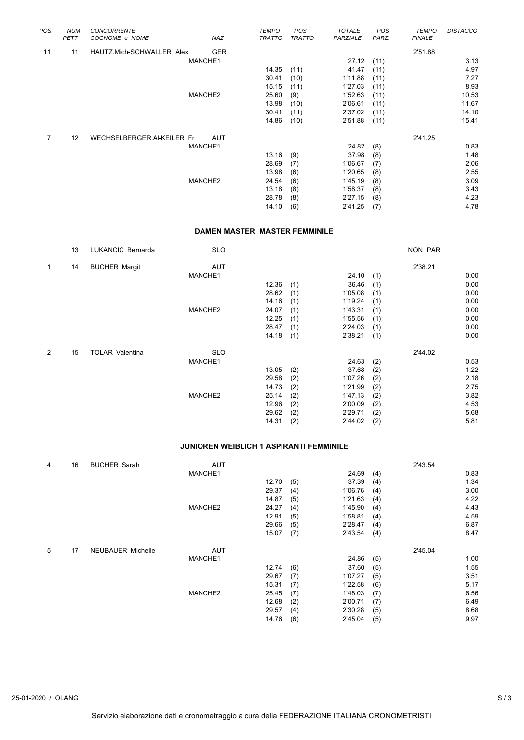| <b>POS</b>     | <b>NUM</b> | <b>CONCORRENTE</b>         |            | <b>TEMPO</b>  | POS           | <b>TOTALE</b> | POS   | <b>TEMPO</b>  | <b>DISTACCO</b> |
|----------------|------------|----------------------------|------------|---------------|---------------|---------------|-------|---------------|-----------------|
|                | PETT       | COGNOME e NOME             | NAZ        | <b>TRATTO</b> | <b>TRATTO</b> | PARZIALE      | PARZ. | <b>FINALE</b> |                 |
| 11             | 11         | HAUTZ.Mich-SCHWALLER Alex  | <b>GER</b> |               |               |               |       | 2'51.88       |                 |
|                |            |                            | MANCHE1    |               |               | 27.12         | (11)  |               | 3.13            |
|                |            |                            |            | 14.35         | (11)          | 41.47         | (11)  |               | 4.97            |
|                |            |                            |            | 30.41         | (10)          | 1'11.88       | (11)  |               | 7.27            |
|                |            |                            |            | 15.15         | (11)          | 1'27.03       | (11)  |               | 8.93            |
|                |            |                            | MANCHE2    | 25.60         | (9)           | 1'52.63       | (11)  |               | 10.53           |
|                |            |                            |            | 13.98         | (10)          | 2'06.61       | (11)  |               | 11.67           |
|                |            |                            |            | 30.41         | (11)          | 2'37.02       | (11)  |               | 14.10           |
|                |            |                            |            | 14.86         | (10)          | 2'51.88       | (11)  |               | 15.41           |
| $\overline{7}$ | 12         | WECHSELBERGER.AI-KEILER Fr | <b>AUT</b> |               |               |               |       | 2'41.25       |                 |
|                |            |                            | MANCHE1    |               |               | 24.82         | (8)   |               | 0.83            |
|                |            |                            |            | 13.16         | (9)           | 37.98         | (8)   |               | 1.48            |
|                |            |                            |            | 28.69         | (7)           | 1'06.67       | (7)   |               | 2.06            |
|                |            |                            |            | 13.98         | (6)           | 1'20.65       | (8)   |               | 2.55            |
|                |            |                            | MANCHE2    | 24.54         | (6)           | 1'45.19       | (8)   |               | 3.09            |
|                |            |                            |            | 13.18         | (8)           | 1'58.37       | (8)   |               | 3.43            |
|                |            |                            |            | 28.78         | (8)           | 2'27.15       | (8)   |               | 4.23            |
|                |            |                            |            | 14.10         | (6)           | 2'41.25       | (7)   |               | 4.78            |

#### **DAMEN MASTER MASTER FEMMINILE**

|              | 13 | LUKANCIC Bernarda      | <b>SLO</b> |       |     |         |     | NON PAR |      |
|--------------|----|------------------------|------------|-------|-----|---------|-----|---------|------|
| $\mathbf{1}$ | 14 | <b>BUCHER Margit</b>   | <b>AUT</b> |       |     |         |     | 2'38.21 |      |
|              |    |                        | MANCHE1    |       |     | 24.10   | (1) |         | 0.00 |
|              |    |                        |            | 12.36 | (1) | 36.46   | (1) |         | 0.00 |
|              |    |                        |            | 28.62 | (1) | 1'05.08 | (1) |         | 0.00 |
|              |    |                        |            | 14.16 | (1) | 1'19.24 | (1) |         | 0.00 |
|              |    |                        | MANCHE2    | 24.07 | (1) | 1'43.31 | (1) |         | 0.00 |
|              |    |                        |            | 12.25 | (1) | 1'55.56 | (1) |         | 0.00 |
|              |    |                        |            | 28.47 | (1) | 2'24.03 | (1) |         | 0.00 |
|              |    |                        |            | 14.18 | (1) | 2'38.21 | (1) |         | 0.00 |
| 2            | 15 | <b>TOLAR Valentina</b> | <b>SLO</b> |       |     |         |     | 2'44.02 |      |
|              |    |                        | MANCHE1    |       |     | 24.63   | (2) |         | 0.53 |
|              |    |                        |            | 13.05 | (2) | 37.68   | (2) |         | 1.22 |
|              |    |                        |            | 29.58 | (2) | 1'07.26 | (2) |         | 2.18 |
|              |    |                        |            | 14.73 | (2) | 1'21.99 | (2) |         | 2.75 |
|              |    |                        | MANCHE2    | 25.14 | (2) | 1'47.13 | (2) |         | 3.82 |
|              |    |                        |            | 12.96 | (2) | 2'00.09 | (2) |         | 4.53 |
|              |    |                        |            | 29.62 | (2) | 2'29.71 | (2) |         | 5.68 |
|              |    |                        |            | 14.31 | (2) | 2'44.02 | (2) |         | 5.81 |

### **JUNIOREN WEIBLICH 1 ASPIRANTI FEMMINILE**

| 4 | 16 | <b>BUCHER Sarah</b>      | <b>AUT</b> |       |     |         |     | 2'43.54 |      |
|---|----|--------------------------|------------|-------|-----|---------|-----|---------|------|
|   |    |                          | MANCHE1    |       |     | 24.69   | (4) |         | 0.83 |
|   |    |                          |            | 12.70 | (5) | 37.39   | (4) |         | 1.34 |
|   |    |                          |            | 29.37 | (4) | 1'06.76 | (4) |         | 3.0C |
|   |    |                          |            | 14.87 | (5) | 1'21.63 | (4) |         | 4.22 |
|   |    |                          | MANCHE2    | 24.27 | (4) | 1'45.90 | (4) |         | 4.43 |
|   |    |                          |            | 12.91 | (5) | 1'58.81 | (4) |         | 4.59 |
|   |    |                          |            | 29.66 | (5) | 2'28.47 | (4) |         | 6.87 |
|   |    |                          |            | 15.07 | (7) | 2'43.54 | (4) |         | 8.47 |
| 5 | 17 | <b>NEUBAUER Michelle</b> | <b>AUT</b> |       |     |         |     | 2'45.04 |      |
|   |    |                          | MANCHE1    |       |     | 24.86   | (5) |         | 1.00 |
|   |    |                          |            | 12.74 | (6) | 37.60   | (5) |         | 1.55 |
|   |    |                          |            | 29.67 | (7) | 1'07.27 | (5) |         | 3.51 |
|   |    |                          |            | 15.31 | (7) | 1'22.58 | (6) |         | 5.17 |
|   |    |                          | MANCHE2    | 25.45 | (7) | 1'48.03 | (7) |         | 6.56 |
|   |    |                          |            | 12.68 | (2) | 2'00.71 | (7) |         | 6.49 |
|   |    |                          |            | 29.57 | (4) | 2'30.28 | (5) |         | 8.68 |
|   |    |                          |            | 14.76 | (6) | 2'45.04 | (5) |         | 9.97 |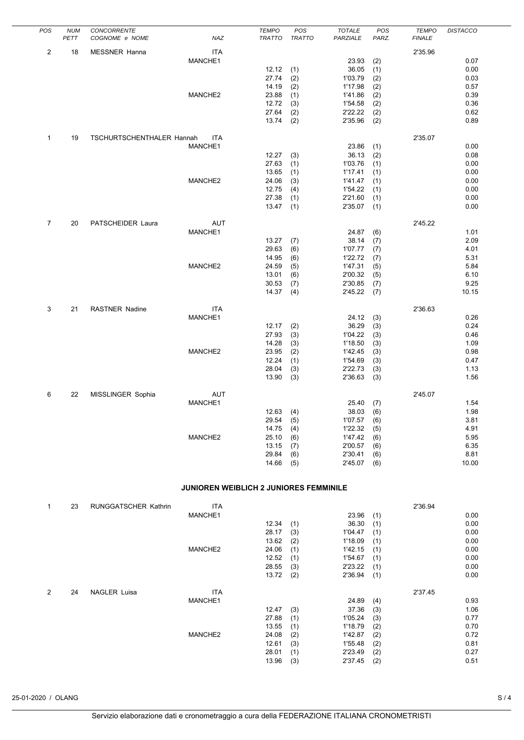| POS            | <b>NUM</b><br>PETT | CONCORRENTE<br>COGNOME e NOME | NAZ                                    | <b>TEMPO</b><br><b>TRATTO</b> | POS<br><b>TRATTO</b> | <b>TOTALE</b><br>PARZIALE | POS<br>PARZ. | <b>TEMPO</b><br><b>FINALE</b> | <b>DISTACCO</b> |
|----------------|--------------------|-------------------------------|----------------------------------------|-------------------------------|----------------------|---------------------------|--------------|-------------------------------|-----------------|
| 2              | 18                 | MESSNER Hanna                 | <b>ITA</b><br>MANCHE1                  |                               |                      | 23.93                     | (2)          | 2'35.96                       | 0.07            |
|                |                    |                               |                                        | 12.12                         | (1)                  | 36.05                     | (1)          |                               | 0.00            |
|                |                    |                               |                                        | 27.74                         | (2)                  | 1'03.79                   | (2)          |                               | 0.03            |
|                |                    |                               |                                        | 14.19                         | (2)                  | 1'17.98                   | (2)          |                               | 0.57            |
|                |                    |                               | MANCHE2                                | 23.88                         | (1)                  | 1'41.86                   | (2)          |                               | 0.39            |
|                |                    |                               |                                        | 12.72<br>27.64                | (3)                  | 1'54.58<br>2'22.22        | (2)          |                               | 0.36<br>0.62    |
|                |                    |                               |                                        | 13.74                         | (2)<br>(2)           | 2'35.96                   | (2)<br>(2)   |                               | 0.89            |
| $\mathbf{1}$   | 19                 | TSCHURTSCHENTHALER Hannah     | ITA                                    |                               |                      |                           |              | 2'35.07                       |                 |
|                |                    |                               | MANCHE1                                |                               |                      | 23.86                     | (1)          |                               | 0.00            |
|                |                    |                               |                                        | 12.27<br>27.63                | (3)                  | 36.13<br>1'03.76          | (2)          |                               | 0.08<br>0.00    |
|                |                    |                               |                                        | 13.65                         | (1)<br>(1)           | 1'17.41                   | (1)<br>(1)   |                               | 0.00            |
|                |                    |                               | MANCHE2                                | 24.06                         | (3)                  | 1'41.47                   | (1)          |                               | 0.00            |
|                |                    |                               |                                        | 12.75                         | (4)                  | 1'54.22                   | (1)          |                               | 0.00            |
|                |                    |                               |                                        | 27.38                         | (1)                  | 2'21.60                   | (1)          |                               | 0.00            |
|                |                    |                               |                                        | 13.47                         | (1)                  | 2'35.07                   | (1)          |                               | 0.00            |
| $\overline{7}$ | 20                 | PATSCHEIDER Laura             | <b>AUT</b><br>MANCHE1                  |                               |                      | 24.87                     | (6)          | 2'45.22                       | 1.01            |
|                |                    |                               |                                        | 13.27                         | (7)                  | 38.14                     | (7)          |                               | 2.09            |
|                |                    |                               |                                        | 29.63                         | (6)                  | 1'07.77                   | (7)          |                               | 4.01            |
|                |                    |                               |                                        | 14.95                         | (6)                  | 1'22.72                   | (7)          |                               | 5.31            |
|                |                    |                               | MANCHE2                                | 24.59                         | (5)                  | 1'47.31                   | (5)          |                               | 5.84            |
|                |                    |                               |                                        | 13.01                         | (6)                  | 2'00.32                   | (5)          |                               | 6.10            |
|                |                    |                               |                                        | 30.53<br>14.37                | (7)<br>(4)           | 2'30.85<br>2'45.22        | (7)<br>(7)   |                               | 9.25<br>10.15   |
|                |                    |                               |                                        |                               |                      |                           |              |                               |                 |
| 3              | 21                 | <b>RASTNER Nadine</b>         | <b>ITA</b>                             |                               |                      |                           |              | 2'36.63                       |                 |
|                |                    |                               | MANCHE1                                | 12.17                         | (2)                  | 24.12<br>36.29            | (3)<br>(3)   |                               | 0.26<br>0.24    |
|                |                    |                               |                                        | 27.93                         | (3)                  | 1'04.22                   | (3)          |                               | 0.46            |
|                |                    |                               |                                        | 14.28                         | (3)                  | 1'18.50                   | (3)          |                               | 1.09            |
|                |                    |                               | MANCHE2                                | 23.95                         | (2)                  | 1'42.45                   | (3)          |                               | 0.98            |
|                |                    |                               |                                        | 12.24                         | (1)                  | 1'54.69                   | (3)          |                               | 0.47            |
|                |                    |                               |                                        | 28.04                         | (3)                  | 2'22.73                   | (3)          |                               | 1.13            |
|                |                    |                               |                                        | 13.90                         | (3)                  | 2'36.63                   | (3)          |                               | 1.56            |
| 6              | 22                 | MISSLINGER Sophia             | AUT<br>MANCHE1                         |                               |                      | 25.40                     | (7)          | 2'45.07                       | 1.54            |
|                |                    |                               |                                        | 12.63                         | (4)                  | 38.03                     | (6)          |                               | 1.98            |
|                |                    |                               |                                        | 29.54                         | (5)                  | 1'07.57                   | (6)          |                               | 3.81            |
|                |                    |                               |                                        | 14.75                         | (4)                  | 1'22.32                   | (5)          |                               | 4.91            |
|                |                    |                               | MANCHE2                                | 25.10                         | (6)                  | 1'47.42                   | (6)          |                               | 5.95            |
|                |                    |                               |                                        | 13.15                         | (7)                  | 2'00.57                   | (6)          |                               | 6.35            |
|                |                    |                               |                                        | 29.84<br>14.66                | (6)<br>(5)           | 2'30.41<br>2'45.07        | (6)<br>(6)   |                               | 8.81<br>10.00   |
|                |                    |                               |                                        |                               |                      |                           |              |                               |                 |
|                |                    |                               | JUNIOREN WEIBLICH 2 JUNIORES FEMMINILE |                               |                      |                           |              |                               |                 |
| 1              | 23                 | <b>RUNGGATSCHER Kathrin</b>   | <b>ITA</b>                             |                               |                      |                           |              | 2'36.94                       |                 |
|                |                    |                               | MANCHE1                                |                               |                      | 23.96                     | (1)          |                               | 0.00            |
|                |                    |                               |                                        | 12.34                         | (1)                  | 36.30                     | (1)          |                               | 0.00            |
|                |                    |                               |                                        | 28.17                         | (3)                  | 1'04.47                   | (1)          |                               | 0.00            |
|                |                    |                               | MANCHE2                                | 13.62<br>24.06                | (2)                  | 1'18.09<br>1'42.15        | (1)          |                               | 0.00<br>0.00    |
|                |                    |                               |                                        | 12.52                         | (1)<br>(1)           | 1'54.67                   | (1)<br>(1)   |                               | 0.00            |
|                |                    |                               |                                        | 28.55                         | (3)                  | 2'23.22                   | (1)          |                               | 0.00            |
|                |                    |                               |                                        | 13.72                         | (2)                  | 2'36.94                   | (1)          |                               | 0.00            |

 $13.96$   $(3)$ 

2 24 NAGLER Luisa ITA 2'37.45

12.47 (3) 24.89 (4) 0.93<br>37.36 (3) 1.06

 $27.88$  (1)  $1'05.24$  (3) 0.77<br>  $13.55$  (1)  $1'18.79$  (2) 0.70<br>  $24.08$  (2)  $1'42.87$  (2) 0.72 13.55 (1) 1'18.79 (2) 0.70<br>24.08 (2) 1'42.87 (2) 0.72

12.61 (3) 1'55.48 (2) 0.81<br>
28.01 (1) 2'23.49 (2) 0.27

MANCHE2 24.08 (2) 1'42.87 (2) 0.72<br>12.61 (3) 1'55.48 (2) 0.81<br>28.01 (1) 2'23.49 (2) 0.27<br>13.96 (3) 2'37.45 (2) 0.51

1'05.24 (3) 1.06<br>1'05.24 (3) 0.77

 $2'23.49$  (2) 0.27<br>  $2'37.45$  (2) 0.51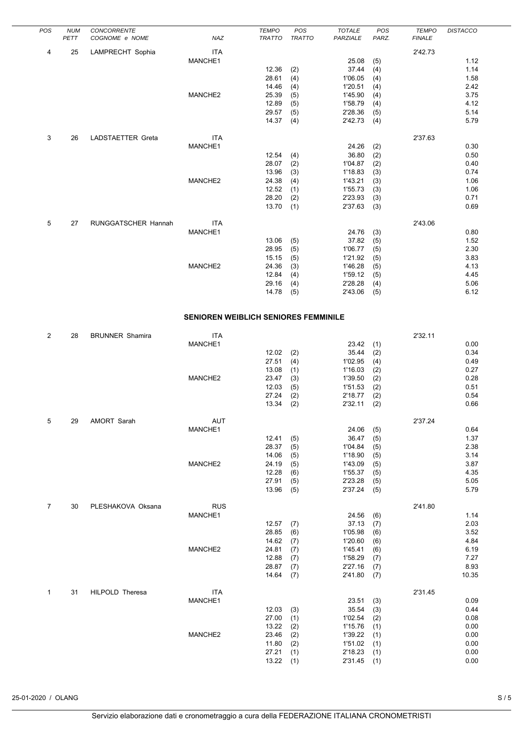| POS | <b>NUM</b><br>PETT | CONCORRENTE<br>COGNOME e NOME | NAZ        | <b>TEMPO</b><br><b>TRATTO</b> | POS<br><b>TRATTO</b> | <b>TOTALE</b><br>PARZIALE | POS<br>PARZ. | <b>TEMPO</b><br><b>FINALE</b> | <b>DISTACCO</b> |
|-----|--------------------|-------------------------------|------------|-------------------------------|----------------------|---------------------------|--------------|-------------------------------|-----------------|
|     |                    |                               |            |                               |                      |                           |              |                               |                 |
| 4   | 25                 | LAMPRECHT Sophia              | <b>ITA</b> |                               |                      |                           |              | 2'42.73                       |                 |
|     |                    |                               | MANCHE1    |                               |                      | 25.08                     | (5)          |                               | 1.12            |
|     |                    |                               |            | 12.36                         | (2)                  | 37.44                     | (4)          |                               | 1.14            |
|     |                    |                               |            | 28.61                         | (4)                  | 1'06.05                   | (4)          |                               | 1.58            |
|     |                    |                               |            | 14.46                         | (4)                  | 1'20.51                   | (4)          |                               | 2.42            |
|     |                    |                               | MANCHE2    | 25.39                         | (5)                  | 1'45.90                   | (4)          |                               | 3.75            |
|     |                    |                               |            | 12.89                         | (5)                  | 1'58.79                   | (4)          |                               | 4.12            |
|     |                    |                               |            | 29.57                         | (5)                  | 2'28.36                   | (5)          |                               | 5.14            |
|     |                    |                               |            | 14.37                         | (4)                  | 2'42.73                   | (4)          |                               | 5.79            |
| 3   | 26                 | LADSTAETTER Greta             | <b>ITA</b> |                               |                      |                           |              | 2'37.63                       |                 |
|     |                    |                               | MANCHE1    |                               |                      | 24.26                     | (2)          |                               | 0.30            |
|     |                    |                               |            | 12.54                         | (4)                  | 36.80                     | (2)          |                               | 0.50            |
|     |                    |                               |            | 28.07                         | (2)                  | 1'04.87                   | (2)          |                               | 0.40            |
|     |                    |                               |            | 13.96                         | (3)                  | 1'18.83                   | (3)          |                               | 0.74            |
|     |                    |                               | MANCHE2    | 24.38                         | (4)                  | 1'43.21                   | (3)          |                               | 1.06            |
|     |                    |                               |            | 12.52                         | (1)                  | 1'55.73                   | (3)          |                               | 1.06            |
|     |                    |                               |            | 28.20                         | (2)                  | 2'23.93                   | (3)          |                               | 0.71            |
|     |                    |                               |            | 13.70                         | (1)                  | 2'37.63                   | (3)          |                               | 0.69            |
| 5   | 27                 | RUNGGATSCHER Hannah           | <b>ITA</b> |                               |                      |                           |              | 2'43.06                       |                 |
|     |                    |                               | MANCHE1    |                               |                      | 24.76                     | (3)          |                               | 0.80            |
|     |                    |                               |            | 13.06                         | (5)                  | 37.82                     | (5)          |                               | 1.52            |
|     |                    |                               |            | 28.95                         | (5)                  | 1'06.77                   | (5)          |                               | 2.30            |
|     |                    |                               |            | 15.15                         | (5)                  | 1'21.92                   | (5)          |                               | 3.83            |
|     |                    |                               | MANCHE2    | 24.36                         | (3)                  | 1'46.28                   | (5)          |                               | 4.13            |
|     |                    |                               |            | 12.84                         | (4)                  | 1'59.12                   | (5)          |                               | 4.45            |
|     |                    |                               |            | 29.16                         | (4)                  | 2'28.28                   | (4)          |                               | 5.06            |
|     |                    |                               |            | 14.78                         | (5)                  | 2'43.06                   | (5)          |                               | 6.12            |

# **SENIOREN WEIBLICH SENIORES FEMMINILE**

| $\overline{2}$ | 28 | <b>BRUNNER Shamira</b> | <b>ITA</b> |       |     |         |     | 2'32.11 |       |
|----------------|----|------------------------|------------|-------|-----|---------|-----|---------|-------|
|                |    |                        | MANCHE1    |       |     | 23.42   | (1) |         | 0.00  |
|                |    |                        |            | 12.02 | (2) | 35.44   | (2) |         | 0.34  |
|                |    |                        |            | 27.51 | (4) | 1'02.95 | (4) |         | 0.49  |
|                |    |                        |            | 13.08 | (1) | 1'16.03 | (2) |         | 0.27  |
|                |    |                        | MANCHE2    | 23.47 | (3) | 1'39.50 | (2) |         | 0.28  |
|                |    |                        |            | 12.03 | (5) | 1'51.53 | (2) |         | 0.51  |
|                |    |                        |            | 27.24 | (2) | 2'18.77 | (2) |         | 0.54  |
|                |    |                        |            | 13.34 | (2) | 2'32.11 | (2) |         | 0.66  |
| 5              | 29 | AMORT Sarah            | <b>AUT</b> |       |     |         |     | 2'37.24 |       |
|                |    |                        | MANCHE1    |       |     | 24.06   | (5) |         | 0.64  |
|                |    |                        |            | 12.41 | (5) | 36.47   | (5) |         | 1.37  |
|                |    |                        |            | 28.37 | (5) | 1'04.84 | (5) |         | 2.38  |
|                |    |                        |            | 14.06 | (5) | 1'18.90 | (5) |         | 3.14  |
|                |    |                        | MANCHE2    | 24.19 | (5) | 1'43.09 | (5) |         | 3.87  |
|                |    |                        |            | 12.28 | (6) | 1'55.37 | (5) |         | 4.35  |
|                |    |                        |            | 27.91 | (5) | 2'23.28 | (5) |         | 5.05  |
|                |    |                        |            | 13.96 | (5) | 2'37.24 | (5) |         | 5.79  |
| $\overline{7}$ | 30 | PLESHAKOVA Oksana      | <b>RUS</b> |       |     |         |     | 2'41.80 |       |
|                |    |                        | MANCHE1    |       |     | 24.56   | (6) |         | 1.14  |
|                |    |                        |            | 12.57 | (7) | 37.13   | (7) |         | 2.03  |
|                |    |                        |            | 28.85 | (6) | 1'05.98 | (6) |         | 3.52  |
|                |    |                        |            | 14.62 | (7) | 1'20.60 | (6) |         | 4.84  |
|                |    |                        | MANCHE2    | 24.81 | (7) | 1'45.41 | (6) |         | 6.19  |
|                |    |                        |            | 12.88 | (7) | 1'58.29 | (7) |         | 7.27  |
|                |    |                        |            | 28.87 | (7) | 2'27.16 | (7) |         | 8.93  |
|                |    |                        |            | 14.64 | (7) | 2'41.80 | (7) |         | 10.35 |
| 1              | 31 | HILPOLD Theresa        | <b>ITA</b> |       |     |         |     | 2'31.45 |       |
|                |    |                        | MANCHE1    |       |     | 23.51   | (3) |         | 0.09  |
|                |    |                        |            | 12.03 | (3) | 35.54   | (3) |         | 0.44  |
|                |    |                        |            | 27.00 | (1) | 1'02.54 | (2) |         | 0.08  |
|                |    |                        |            | 13.22 | (2) | 1'15.76 | (1) |         | 0.00  |
|                |    |                        | MANCHE2    | 23.46 | (2) | 1'39.22 | (1) |         | 0.00  |
|                |    |                        |            | 11.80 | (2) | 1'51.02 | (1) |         | 0.00  |
|                |    |                        |            | 27.21 | (1) | 2'18.23 | (1) |         | 0.00  |
|                |    |                        |            | 13.22 | (1) | 2'31.45 | (1) |         | 0.00  |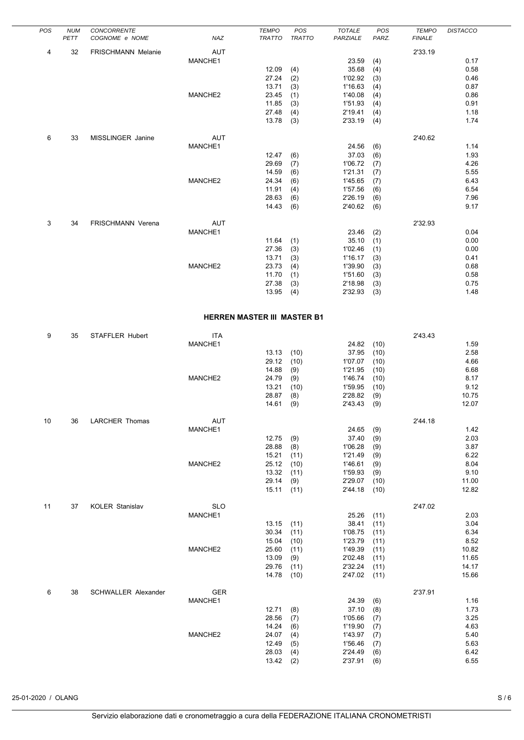| POS | <b>NUM</b><br>PETT | CONCORRENTE<br>COGNOME e NOME | NAZ        | <b>TEMPO</b><br><b>TRATTO</b> | POS<br><b>TRATTO</b> | <b>TOTALE</b><br>PARZIALE | POS<br>PARZ. | <b>TEMPO</b><br><b>FINALE</b> | <b>DISTACCO</b> |
|-----|--------------------|-------------------------------|------------|-------------------------------|----------------------|---------------------------|--------------|-------------------------------|-----------------|
|     |                    |                               |            |                               |                      |                           |              |                               |                 |
| 4   | 32                 | <b>FRISCHMANN Melanie</b>     | <b>AUT</b> |                               |                      |                           |              | 2'33.19                       |                 |
|     |                    |                               | MANCHE1    |                               |                      | 23.59                     | (4)          |                               | 0.17            |
|     |                    |                               |            | 12.09                         | (4)                  | 35.68                     | (4)          |                               | 0.58            |
|     |                    |                               |            | 27.24                         | (2)                  | 1'02.92                   | (3)          |                               | 0.46            |
|     |                    |                               |            | 13.71                         | (3)                  | 1'16.63                   | (4)          |                               | 0.87            |
|     |                    |                               | MANCHE2    | 23.45                         | (1)                  | 1'40.08                   | (4)          |                               | 0.86            |
|     |                    |                               |            | 11.85                         | (3)                  | 1'51.93                   | (4)          |                               | 0.91            |
|     |                    |                               |            | 27.48                         | (4)                  | 2'19.41                   | (4)          |                               | 1.18            |
|     |                    |                               |            | 13.78                         | (3)                  | 2'33.19                   | (4)          |                               | 1.74            |
| 6   | 33                 | MISSLINGER Janine             | <b>AUT</b> |                               |                      |                           |              | 2'40.62                       |                 |
|     |                    |                               | MANCHE1    |                               |                      | 24.56                     | (6)          |                               | 1.14            |
|     |                    |                               |            | 12.47                         | (6)                  | 37.03                     | (6)          |                               | 1.93            |
|     |                    |                               |            | 29.69                         | (7)                  | 1'06.72                   | (7)          |                               | 4.26            |
|     |                    |                               |            | 14.59                         | (6)                  | 1'21.31                   | (7)          |                               | 5.55            |
|     |                    |                               | MANCHE2    | 24.34                         | (6)                  | 1'45.65                   | (7)          |                               | 6.43            |
|     |                    |                               |            | 11.91                         | (4)                  | 1'57.56                   | (6)          |                               | 6.54            |
|     |                    |                               |            | 28.63                         | (6)                  | 2'26.19                   | (6)          |                               | 7.96            |
|     |                    |                               |            | 14.43                         | (6)                  | 2'40.62                   | (6)          |                               | 9.17            |
| 3   | 34                 | <b>FRISCHMANN Verena</b>      | <b>AUT</b> |                               |                      |                           |              | 2'32.93                       |                 |
|     |                    |                               | MANCHE1    |                               |                      | 23.46                     | (2)          |                               | 0.04            |
|     |                    |                               |            | 11.64                         | (1)                  | 35.10                     | (1)          |                               | 0.00            |
|     |                    |                               |            | 27.36                         | (3)                  | 1'02.46                   | (1)          |                               | 0.00            |
|     |                    |                               |            | 13.71                         | (3)                  | 1'16.17                   | (3)          |                               | 0.41            |
|     |                    |                               | MANCHE2    | 23.73                         | (4)                  | 1'39.90                   | (3)          |                               | 0.68            |
|     |                    |                               |            | 11.70                         | (1)                  | 1'51.60                   | (3)          |                               | 0.58            |
|     |                    |                               |            | 27.38                         | (3)                  | 2'18.98                   | (3)          |                               | 0.75            |
|     |                    |                               |            | 13.95                         | (4)                  | 2'32.93                   | (3)          |                               | 1.48            |

## **HERREN MASTER III MASTER B1**

| 9  | 35 | STAFFLER Hubert            | <b>ITA</b> |       |      |         |      | 2'43.43 |       |
|----|----|----------------------------|------------|-------|------|---------|------|---------|-------|
|    |    |                            | MANCHE1    |       |      | 24.82   | (10) |         | 1.59  |
|    |    |                            |            | 13.13 | (10) | 37.95   | (10) |         | 2.58  |
|    |    |                            |            | 29.12 | (10) | 1'07.07 | (10) |         | 4.66  |
|    |    |                            |            | 14.88 | (9)  | 1'21.95 | (10) |         | 6.68  |
|    |    |                            | MANCHE2    | 24.79 | (9)  | 1'46.74 | (10) |         | 8.17  |
|    |    |                            |            | 13.21 | (10) | 1'59.95 | (10) |         | 9.12  |
|    |    |                            |            | 28.87 | (8)  | 2'28.82 | (9)  |         | 10.75 |
|    |    |                            |            | 14.61 | (9)  | 2'43.43 | (9)  |         | 12.07 |
| 10 | 36 | <b>LARCHER Thomas</b>      | <b>AUT</b> |       |      |         |      | 2'44.18 |       |
|    |    |                            | MANCHE1    |       |      | 24.65   | (9)  |         | 1.42  |
|    |    |                            |            | 12.75 | (9)  | 37.40   | (9)  |         | 2.03  |
|    |    |                            |            | 28.88 | (8)  | 1'06.28 | (9)  |         | 3.87  |
|    |    |                            |            | 15.21 | (11) | 1'21.49 | (9)  |         | 6.22  |
|    |    |                            | MANCHE2    | 25.12 | (10) | 1'46.61 | (9)  |         | 8.04  |
|    |    |                            |            | 13.32 | (11) | 1'59.93 | (9)  |         | 9.10  |
|    |    |                            |            | 29.14 | (9)  | 2'29.07 | (10) |         | 11.00 |
|    |    |                            |            | 15.11 | (11) | 2'44.18 | (10) |         | 12.82 |
| 11 | 37 | <b>KOLER Stanislav</b>     | <b>SLO</b> |       |      |         |      | 2'47.02 |       |
|    |    |                            | MANCHE1    |       |      | 25.26   | (11) |         | 2.03  |
|    |    |                            |            | 13.15 | (11) | 38.41   | (11) |         | 3.04  |
|    |    |                            |            | 30.34 | (11) | 1'08.75 | (11) |         | 6.34  |
|    |    |                            |            | 15.04 | (10) | 1'23.79 | (11) |         | 8.52  |
|    |    |                            | MANCHE2    | 25.60 | (11) | 1'49.39 | (11) |         | 10.82 |
|    |    |                            |            | 13.09 | (9)  | 2'02.48 | (11) |         | 11.65 |
|    |    |                            |            | 29.76 | (11) | 2'32.24 | (11) |         | 14.17 |
|    |    |                            |            | 14.78 | (10) | 2'47.02 | (11) |         | 15.66 |
| 6  | 38 | <b>SCHWALLER Alexander</b> | GER        |       |      |         |      | 2'37.91 |       |
|    |    |                            | MANCHE1    |       |      | 24.39   | (6)  |         | 1.16  |
|    |    |                            |            | 12.71 | (8)  | 37.10   | (8)  |         | 1.73  |
|    |    |                            |            | 28.56 | (7)  | 1'05.66 | (7)  |         | 3.25  |
|    |    |                            |            | 14.24 | (6)  | 1'19.90 | (7)  |         | 4.63  |
|    |    |                            | MANCHE2    | 24.07 | (4)  | 1'43.97 | (7)  |         | 5.40  |
|    |    |                            |            | 12.49 | (5)  | 1'56.46 | (7)  |         | 5.63  |
|    |    |                            |            | 28.03 | (4)  | 2'24.49 | (6)  |         | 6.42  |
|    |    |                            |            | 13.42 | (2)  | 2'37.91 | (6)  |         | 6.55  |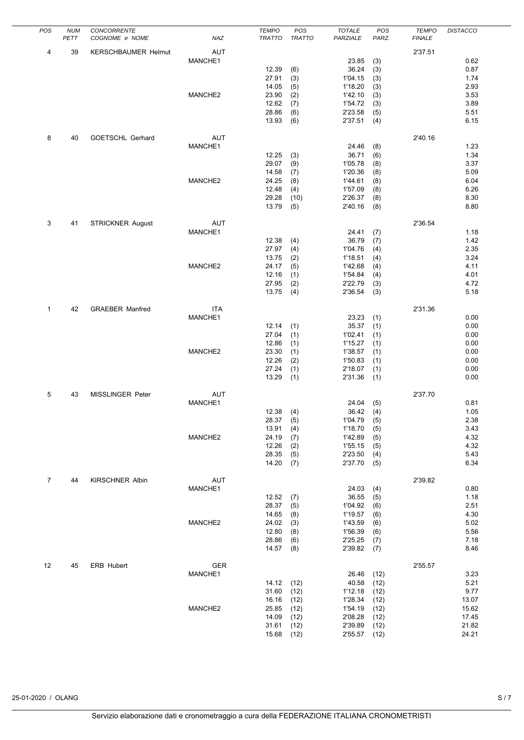| POS          | <b>NUM</b> | CONCORRENTE                |            | <b>TEMPO</b>  | POS           | <b>TOTALE</b> | POS   | <b>TEMPO</b>  | <b>DISTACCO</b> |
|--------------|------------|----------------------------|------------|---------------|---------------|---------------|-------|---------------|-----------------|
|              | PETT       | COGNOME e NOME             | NAZ        | <b>TRATTO</b> | <b>TRATTO</b> | PARZIALE      | PARZ. | <b>FINALE</b> |                 |
|              |            |                            |            |               |               |               |       |               |                 |
| 4            | 39         | <b>KERSCHBAUMER Helmut</b> | <b>AUT</b> |               |               |               |       | 2'37.51       |                 |
|              |            |                            | MANCHE1    |               |               | 23.85         | (3)   |               | 0.62            |
|              |            |                            |            | 12.39         | (6)           | 36.24         | (3)   |               | 0.87            |
|              |            |                            |            | 27.91         | (3)           | 1'04.15       | (3)   |               | 1.74            |
|              |            |                            |            | 14.05         | (5)           | 1'18.20       | (3)   |               | 2.93            |
|              |            |                            | MANCHE2    | 23.90         | (2)           | 1'42.10       | (3)   |               | 3.53            |
|              |            |                            |            | 12.62         | (7)           | 1'54.72       | (3)   |               | 3.89            |
|              |            |                            |            | 28.86         | (6)           | 2'23.58       | (5)   |               | 5.51            |
|              |            |                            |            | 13.93         | (6)           | 2'37.51       | (4)   |               | 6.15            |
|              |            |                            |            |               |               |               |       |               |                 |
| 8            | 40         | GOETSCHL Gerhard           | <b>AUT</b> |               |               |               |       | 2'40.16       |                 |
|              |            |                            | MANCHE1    |               |               | 24.46         | (8)   |               | 1.23            |
|              |            |                            |            | 12.25         |               | 36.71         |       |               | 1.34            |
|              |            |                            |            |               | (3)           |               | (6)   |               |                 |
|              |            |                            |            | 29.07         | (9)           | 1'05.78       | (8)   |               | 3.37            |
|              |            |                            |            | 14.58         | (7)           | 1'20.36       | (8)   |               | 5.09            |
|              |            |                            | MANCHE2    | 24.25         | (8)           | 1'44.61       | (8)   |               | 6.04            |
|              |            |                            |            | 12.48         | (4)           | 1'57.09       | (8)   |               | 6.26            |
|              |            |                            |            | 29.28         | (10)          | 2'26.37       | (8)   |               | 8.30            |
|              |            |                            |            | 13.79         | (5)           | 2'40.16       | (8)   |               | 8.80            |
|              |            |                            |            |               |               |               |       |               |                 |
| 3            | 41         | <b>STRICKNER August</b>    | AUT        |               |               |               |       | 2'36.54       |                 |
|              |            |                            | MANCHE1    |               |               | 24.41         | (7)   |               | 1.18            |
|              |            |                            |            | 12.38         | (4)           | 36.79         | (7)   |               | 1.42            |
|              |            |                            |            | 27.97         | (4)           | 1'04.76       | (4)   |               | 2.35            |
|              |            |                            |            | 13.75         | (2)           | 1'18.51       | (4)   |               | 3.24            |
|              |            |                            | MANCHE2    | 24.17         | (5)           | 1'42.68       | (4)   |               | 4.11            |
|              |            |                            |            | 12.16         | (1)           | 1'54.84       | (4)   |               | 4.01            |
|              |            |                            |            | 27.95         | (2)           | 2'22.79       | (3)   |               | 4.72            |
|              |            |                            |            |               |               |               |       |               |                 |
|              |            |                            |            | 13.75         | (4)           | 2'36.54       | (3)   |               | 5.18            |
|              |            |                            |            |               |               |               |       |               |                 |
| $\mathbf{1}$ | 42         | <b>GRAEBER Manfred</b>     | <b>ITA</b> |               |               |               |       | 2'31.36       |                 |
|              |            |                            | MANCHE1    |               |               | 23.23         | (1)   |               | 0.00            |
|              |            |                            |            | 12.14         | (1)           | 35.37         | (1)   |               | 0.00            |
|              |            |                            |            | 27.04         | (1)           | 1'02.41       | (1)   |               | 0.00            |
|              |            |                            |            | 12.86         | (1)           | 1'15.27       | (1)   |               | 0.00            |
|              |            |                            | MANCHE2    | 23.30         | (1)           | 1'38.57       | (1)   |               | 0.00            |
|              |            |                            |            | 12.26         | (2)           | 1'50.83       | (1)   |               | 0.00            |
|              |            |                            |            | 27.24         | (1)           | 2'18.07       | (1)   |               | 0.00            |
|              |            |                            |            | 13.29         | (1)           | 2'31.36       | (1)   |               | 0.00            |
|              |            |                            |            |               |               |               |       |               |                 |
| 5            | 43         | MISSLINGER Peter           | AUT        |               |               |               |       | 2'37.70       |                 |
|              |            |                            | MANCHE1    |               |               | 24.04         | (5)   |               | 0.81            |
|              |            |                            |            | 12.38         | (4)           | 36.42         | (4)   |               | 1.05            |
|              |            |                            |            |               |               |               |       |               |                 |
|              |            |                            |            | 28.37         | (5)           | 1'04.79       | (5)   |               | 2.38            |
|              |            |                            |            | 13.91         | (4)           | 1'18.70       | (5)   |               | 3.43            |
|              |            |                            | MANCHE2    | 24.19         | (7)           | 1'42.89       | (5)   |               | 4.32            |
|              |            |                            |            | 12.26         | (2)           | 1'55.15       | (5)   |               | 4.32            |
|              |            |                            |            | 28.35         | (5)           | 2'23.50       | (4)   |               | 5.43            |
|              |            |                            |            | 14.20         | (7)           | 2'37.70       | (5)   |               | 6.34            |
|              |            |                            |            |               |               |               |       |               |                 |
| 7            | 44         | <b>KIRSCHNER Albin</b>     | AUT        |               |               |               |       | 2'39.82       |                 |
|              |            |                            | MANCHE1    |               |               | 24.03         | (4)   |               | 0.80            |
|              |            |                            |            | 12.52         | (7)           | 36.55         | (5)   |               | 1.18            |
|              |            |                            |            | 28.37         | (5)           | 1'04.92       | (6)   |               | 2.51            |
|              |            |                            |            | 14.65         | (8)           | 1'19.57       | (6)   |               | 4.30            |
|              |            |                            | MANCHE2    | 24.02         | (3)           | 1'43.59       | (6)   |               | 5.02            |
|              |            |                            |            | 12.80         | (8)           | 1'56.39       | (6)   |               | 5.56            |
|              |            |                            |            | 28.86         | (6)           | 2'25.25       | (7)   |               | 7.18            |
|              |            |                            |            | 14.57         | (8)           | 2'39.82       | (7)   |               | 8.46            |
|              |            |                            |            |               |               |               |       |               |                 |
|              |            |                            |            |               |               |               |       |               |                 |
| 12           | 45         | ERB Hubert                 | GER        |               |               |               |       | 2'55.57       |                 |
|              |            |                            | MANCHE1    |               |               | 26.46         | (12)  |               | 3.23            |
|              |            |                            |            | 14.12         | (12)          | 40.58         | (12)  |               | 5.21            |
|              |            |                            |            | 31.60         | (12)          | 1'12.18       | (12)  |               | 9.77            |
|              |            |                            |            | 16.16         | (12)          | 1'28.34       | (12)  |               | 13.07           |
|              |            |                            | MANCHE2    | 25.85         | (12)          | 1'54.19       | (12)  |               | 15.62           |
|              |            |                            |            | 14.09         | (12)          | 2'08.28       | (12)  |               | 17.45           |
|              |            |                            |            | 31.61         | (12)          | 2'39.89       | (12)  |               | 21.82           |
|              |            |                            |            | 15.68         | (12)          | 2'55.57       | (12)  |               | 24.21           |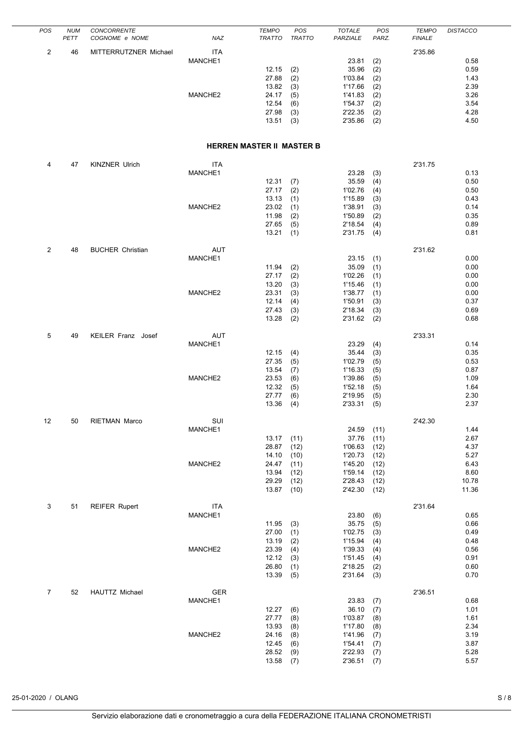| POS            | <b>NUM</b><br>PETT | CONCORRENTE<br>COGNOME e NOME | NAZ            | <b>TEMPO</b><br><b>TRATTO</b>    | POS<br><b>TRATTO</b> | <b>TOTALE</b><br>PARZIALE | POS<br>PARZ. | <b>TEMPO</b><br><b>FINALE</b> | <b>DISTACCO</b> |
|----------------|--------------------|-------------------------------|----------------|----------------------------------|----------------------|---------------------------|--------------|-------------------------------|-----------------|
| $\overline{c}$ | 46                 | MITTERRUTZNER Michael         | ITA            |                                  |                      |                           |              | 2'35.86                       |                 |
|                |                    |                               | MANCHE1        |                                  |                      | 23.81                     | (2)          |                               | 0.58            |
|                |                    |                               |                | 12.15<br>27.88                   | (2)                  | 35.96                     | (2)          |                               | 0.59            |
|                |                    |                               |                | 13.82                            | (2)<br>(3)           | 1'03.84<br>1'17.66        | (2)<br>(2)   |                               | 1.43<br>2.39    |
|                |                    |                               | MANCHE2        | 24.17                            | (5)                  | 1'41.83                   | (2)          |                               | 3.26            |
|                |                    |                               |                | 12.54                            | (6)                  | 1'54.37                   | (2)          |                               | 3.54            |
|                |                    |                               |                | 27.98<br>13.51                   | (3)<br>(3)           | 2'22.35<br>2'35.86        | (2)<br>(2)   |                               | 4.28<br>4.50    |
|                |                    |                               |                | <b>HERREN MASTER II MASTER B</b> |                      |                           |              |                               |                 |
|                |                    |                               |                |                                  |                      |                           |              |                               |                 |
| 4              | 47                 | <b>KINZNER Ulrich</b>         | ITA<br>MANCHE1 |                                  |                      | 23.28                     | (3)          | 2'31.75                       | 0.13            |
|                |                    |                               |                | 12.31                            | (7)                  | 35.59                     | (4)          |                               | 0.50            |
|                |                    |                               |                | 27.17                            | (2)                  | 1'02.76                   | (4)          |                               | 0.50            |
|                |                    |                               | MANCHE2        | 13.13<br>23.02                   | (1)<br>(1)           | 1'15.89<br>1'38.91        | (3)<br>(3)   |                               | 0.43<br>0.14    |
|                |                    |                               |                | 11.98                            | (2)                  | 1'50.89                   | (2)          |                               | 0.35            |
|                |                    |                               |                | 27.65                            | (5)                  | 2'18.54                   | (4)          |                               | 0.89            |
|                |                    |                               |                | 13.21                            | (1)                  | 2'31.75                   | (4)          |                               | 0.81            |
| $\overline{2}$ | 48                 | <b>BUCHER Christian</b>       | <b>AUT</b>     |                                  |                      |                           |              | 2'31.62                       |                 |
|                |                    |                               | MANCHE1        |                                  |                      | 23.15                     | (1)          |                               | 0.00            |
|                |                    |                               |                | 11.94<br>27.17                   | (2)<br>(2)           | 35.09<br>1'02.26          | (1)<br>(1)   |                               | 0.00<br>0.00    |
|                |                    |                               |                | 13.20                            | (3)                  | 1'15.46                   | (1)          |                               | 0.00            |
|                |                    |                               | MANCHE2        | 23.31                            | (3)                  | 1'38.77                   | (1)          |                               | 0.00            |
|                |                    |                               |                | 12.14<br>27.43                   | (4)<br>(3)           | 1'50.91<br>2'18.34        | (3)<br>(3)   |                               | 0.37<br>0.69    |
|                |                    |                               |                | 13.28                            | (2)                  | 2'31.62                   | (2)          |                               | 0.68            |
| 5              | 49                 | KEILER Franz Josef            | <b>AUT</b>     |                                  |                      |                           |              | 2'33.31                       |                 |
|                |                    |                               | MANCHE1        |                                  |                      | 23.29                     | (4)          |                               | 0.14            |
|                |                    |                               |                | 12.15                            | (4)                  | 35.44                     | (3)          |                               | 0.35            |
|                |                    |                               |                | 27.35<br>13.54                   | (5)<br>(7)           | 1'02.79<br>1'16.33        | (5)<br>(5)   |                               | 0.53<br>0.87    |
|                |                    |                               | MANCHE2        | 23.53                            | (6)                  | 1'39.86                   | (5)          |                               | 1.09            |
|                |                    |                               |                | 12.32                            | (5)                  | 1'52.18                   | (5)          |                               | 1.64            |
|                |                    |                               |                | 27.77<br>13.36                   | (6)<br>(4)           | 2'19.95<br>2'33.31        | (5)<br>(5)   |                               | 2.30<br>2.37    |
|                |                    |                               |                |                                  |                      |                           |              |                               |                 |
| 12             | 50                 | <b>RIETMAN Marco</b>          | SUI<br>MANCHE1 |                                  |                      | 24.59                     | (11)         | 2'42.30                       | 1.44            |
|                |                    |                               |                | 13.17                            | (11)                 | 37.76                     | (11)         |                               | 2.67            |
|                |                    |                               |                | 28.87                            | (12)                 | 1'06.63                   | (12)         |                               | 4.37            |
|                |                    |                               | MANCHE2        | 14.10<br>24.47                   | (10)<br>(11)         | 1'20.73<br>1'45.20        | (12)<br>(12) |                               | 5.27<br>6.43    |
|                |                    |                               |                | 13.94                            | (12)                 | 1'59.14                   | (12)         |                               | 8.60            |
|                |                    |                               |                | 29.29                            | (12)                 | 2'28.43                   | (12)         |                               | 10.78           |
|                |                    |                               |                | 13.87                            | (10)                 | 2'42.30                   | (12)         |                               | 11.36           |
| 3              | 51                 | <b>REIFER Rupert</b>          | <b>ITA</b>     |                                  |                      |                           |              | 2'31.64                       |                 |
|                |                    |                               | MANCHE1        | 11.95                            | (3)                  | 23.80<br>35.75            | (6)<br>(5)   |                               | 0.65<br>0.66    |
|                |                    |                               |                | 27.00                            | (1)                  | 1'02.75                   | (3)          |                               | 0.49            |
|                |                    |                               |                | 13.19                            | (2)                  | 1'15.94                   | (4)          |                               | 0.48            |
|                |                    |                               | MANCHE2        | 23.39<br>12.12                   | (4)<br>(3)           | 1'39.33<br>1'51.45        | (4)<br>(4)   |                               | 0.56<br>0.91    |
|                |                    |                               |                | 26.80                            | (1)                  | 2'18.25                   | (2)          |                               | 0.60            |
|                |                    |                               |                | 13.39                            | (5)                  | 2'31.64                   | (3)          |                               | 0.70            |
| 7              | 52                 | HAUTTZ Michael                | GER            |                                  |                      |                           |              | 2'36.51                       |                 |
|                |                    |                               | MANCHE1        |                                  |                      | 23.83                     | (7)          |                               | 0.68            |
|                |                    |                               |                | 12.27                            | (6)                  | 36.10                     | (7)          |                               | 1.01            |
|                |                    |                               |                | 27.77<br>13.93                   | (8)<br>(8)           | 1'03.87<br>1'17.80        | (8)<br>(8)   |                               | 1.61<br>2.34    |
|                |                    |                               | MANCHE2        | 24.16                            | (8)                  | 1'41.96                   | (7)          |                               | 3.19            |
|                |                    |                               |                | 12.45                            | (6)                  | 1'54.41                   | (7)          |                               | 3.87            |
|                |                    |                               |                | 28.52<br>13.58                   | (9)<br>(7)           | 2'22.93<br>2'36.51        | (7)<br>(7)   |                               | 5.28<br>5.57    |
|                |                    |                               |                |                                  |                      |                           |              |                               |                 |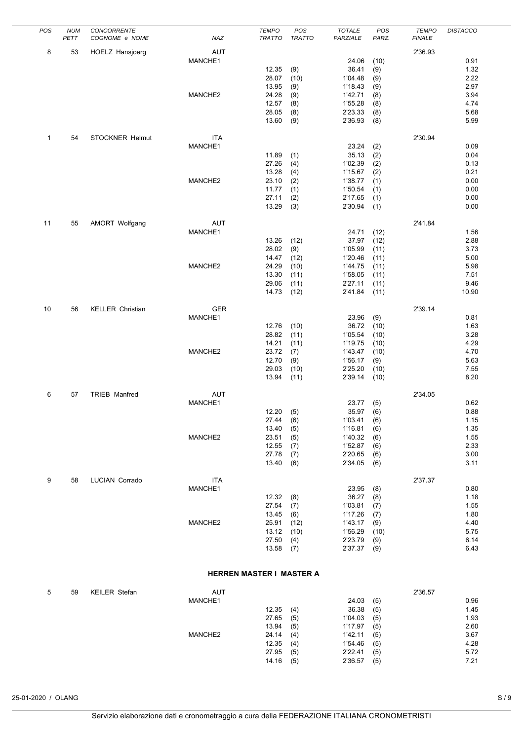| POS          | <b>NUM</b> | <b>CONCORRENTE</b>      |                       | <b>TEMPO</b>             | POS           | <b>TOTALE</b>      | POS          | <b>TEMPO</b>  | <b>DISTACCO</b> |
|--------------|------------|-------------------------|-----------------------|--------------------------|---------------|--------------------|--------------|---------------|-----------------|
|              | PETT       | COGNOME e NOME          | NAZ                   | <b>TRATTO</b>            | <b>TRATTO</b> | PARZIALE           | PARZ.        | <b>FINALE</b> |                 |
| 8            | 53         | <b>HOELZ Hansjoerg</b>  | AUT                   |                          |               |                    |              | 2'36.93       |                 |
|              |            |                         | MANCHE1               |                          |               | 24.06              | (10)         |               | 0.91            |
|              |            |                         |                       | 12.35                    | (9)           | 36.41              | (9)          |               | 1.32            |
|              |            |                         |                       | 28.07<br>13.95           | (10)<br>(9)   | 1'04.48<br>1'18.43 | (9)<br>(9)   |               | 2.22<br>2.97    |
|              |            |                         | MANCHE2               | 24.28                    | (9)           | 1'42.71            | (8)          |               | 3.94            |
|              |            |                         |                       | 12.57                    | (8)           | 1'55.28            | (8)          |               | 4.74            |
|              |            |                         |                       | 28.05                    | (8)           | 2'23.33            | (8)          |               | 5.68            |
|              |            |                         |                       | 13.60                    | (9)           | 2'36.93            | (8)          |               | 5.99            |
| $\mathbf{1}$ | 54         | <b>STOCKNER Helmut</b>  | <b>ITA</b>            |                          |               |                    |              | 2'30.94       |                 |
|              |            |                         | MANCHE1               |                          |               | 23.24              | (2)          |               | 0.09            |
|              |            |                         |                       | 11.89                    | (1)           | 35.13              | (2)          |               | 0.04            |
|              |            |                         |                       | 27.26                    | (4)           | 1'02.39            | (2)          |               | 0.13            |
|              |            |                         |                       | 13.28                    | (4)           | 1'15.67            | (2)          |               | 0.21            |
|              |            |                         | MANCHE2               | 23.10<br>11.77           | (2)<br>(1)    | 1'38.77<br>1'50.54 | (1)<br>(1)   |               | 0.00<br>0.00    |
|              |            |                         |                       | 27.11                    | (2)           | 2'17.65            | (1)          |               | 0.00            |
|              |            |                         |                       | 13.29                    | (3)           | 2'30.94            | (1)          |               | 0.00            |
|              |            |                         |                       |                          |               |                    |              |               |                 |
| 11           | 55         | AMORT Wolfgang          | <b>AUT</b><br>MANCHE1 |                          |               | 24.71              | (12)         | 2'41.84       | 1.56            |
|              |            |                         |                       | 13.26                    | (12)          | 37.97              | (12)         |               | 2.88            |
|              |            |                         |                       | 28.02                    | (9)           | 1'05.99            | (11)         |               | 3.73            |
|              |            |                         |                       | 14.47                    | (12)          | 1'20.46            | (11)         |               | 5.00            |
|              |            |                         | MANCHE2               | 24.29                    | (10)          | 1'44.75            | (11)         |               | 5.98            |
|              |            |                         |                       | 13.30                    | (11)          | 1'58.05            | (11)         |               | 7.51            |
|              |            |                         |                       | 29.06<br>14.73           | (11)<br>(12)  | 2'27.11<br>2'41.84 | (11)<br>(11) |               | 9.46<br>10.90   |
|              |            |                         |                       |                          |               |                    |              |               |                 |
| 10           | 56         | <b>KELLER Christian</b> | <b>GER</b>            |                          |               |                    |              | 2'39.14       |                 |
|              |            |                         | MANCHE1               |                          |               | 23.96              | (9)          |               | 0.81            |
|              |            |                         |                       | 12.76<br>28.82           | (10)<br>(11)  | 36.72<br>1'05.54   | (10)<br>(10) |               | 1.63<br>3.28    |
|              |            |                         |                       | 14.21                    | (11)          | 1'19.75            | (10)         |               | 4.29            |
|              |            |                         | MANCHE2               | 23.72                    | (7)           | 1'43.47            | (10)         |               | 4.70            |
|              |            |                         |                       | 12.70                    | (9)           | 1'56.17            | (9)          |               | 5.63            |
|              |            |                         |                       | 29.03                    | (10)          | 2'25.20            | (10)         |               | 7.55            |
|              |            |                         |                       | 13.94                    | (11)          | 2'39.14            | (10)         |               | 8.20            |
| 6            | 57         | TRIEB Manfred           | AUT                   |                          |               |                    |              | 2'34.05       |                 |
|              |            |                         | MANCHE1               |                          |               | 23.77              | (5)          |               | 0.62            |
|              |            |                         |                       | 12.20                    | (5)           | 35.97              | (6)          |               | 0.88            |
|              |            |                         |                       | 27.44<br>13.40           | (6)<br>(5)    | 1'03.41<br>1'16.81 | (6)<br>(6)   |               | 1.15<br>1.35    |
|              |            |                         | MANCHE2               | 23.51                    | (5)           | 1'40.32            | (6)          |               | 1.55            |
|              |            |                         |                       | 12.55                    | (7)           | 1'52.87            | (6)          |               | 2.33            |
|              |            |                         |                       | 27.78                    | (7)           | 2'20.65            | (6)          |               | 3.00            |
|              |            |                         |                       | 13.40                    | (6)           | 2'34.05            | (6)          |               | 3.11            |
| 9            | 58         | <b>LUCIAN Corrado</b>   | <b>ITA</b>            |                          |               |                    |              | 2'37.37       |                 |
|              |            |                         | MANCHE1               |                          |               | 23.95              | (8)          |               | $0.80\,$        |
|              |            |                         |                       | 12.32                    | (8)           | 36.27              | (8)          |               | 1.18            |
|              |            |                         |                       | 27.54                    | (7)           | 1'03.81            | (7)          |               | 1.55            |
|              |            |                         |                       | 13.45                    | (6)           | 1'17.26            | (7)          |               | 1.80            |
|              |            |                         | MANCHE2               | 25.91<br>13.12           | (12)<br>(10)  | 1'43.17<br>1'56.29 | (9)<br>(10)  |               | 4.40<br>5.75    |
|              |            |                         |                       | 27.50                    | (4)           | 2'23.79            | (9)          |               | 6.14            |
|              |            |                         |                       | 13.58                    | (7)           | 2'37.37            | (9)          |               | 6.43            |
|              |            |                         |                       | HERREN MASTER I MASTER A |               |                    |              |               |                 |
|              |            |                         |                       |                          |               |                    |              |               |                 |
| 5            | 59         | KEILER Stefan           | AUT                   |                          |               |                    |              | 2'36.57       |                 |

| 59 | <b>KEILER Stefan</b> | <b>AUT</b> |       |     |         |     | 2'36.57 |  |
|----|----------------------|------------|-------|-----|---------|-----|---------|--|
|    |                      | MANCHE1    |       |     | 24.03   | (5) | 0.96    |  |
|    |                      |            | 12.35 | (4) | 36.38   | (5) | 1.45    |  |
|    |                      |            | 27.65 | (5) | 1'04.03 | (5) | 1.93    |  |
|    |                      |            | 13.94 | (5) | 1'17.97 | (5) | 2.60    |  |
|    |                      | MANCHE2    | 24.14 | (4) | 1'42.11 | (5) | 3.67    |  |
|    |                      |            | 12.35 | (4) | 1'54.46 | (5) | 4.28    |  |
|    |                      |            | 27.95 | (5) | 2'22.41 | (5) | 5.72    |  |
|    |                      |            | 14.16 | (5) | 2'36.57 | (5) | 7.21    |  |
|    |                      |            |       |     |         |     |         |  |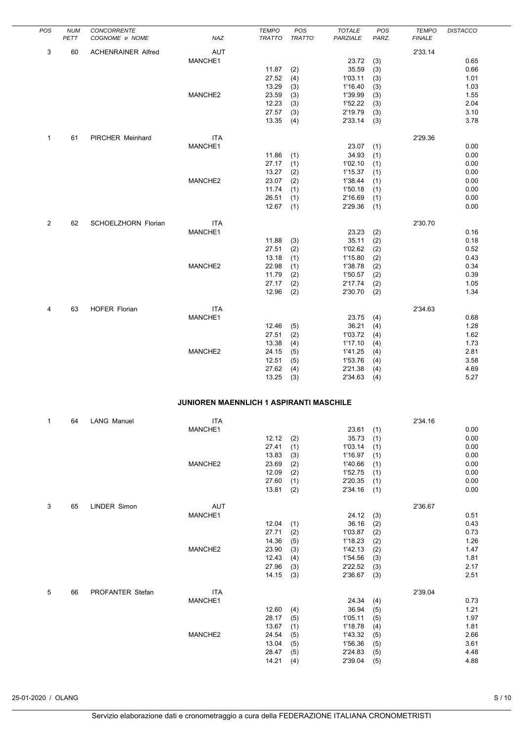| POS | <b>NUM</b><br>PETT | CONCORRENTE<br>COGNOME e NOME | NAZ                                     | <b>TEMPO</b><br><b>TRATTO</b> | POS<br><b>TRATTO</b> | <b>TOTALE</b><br>PARZIALE | POS<br>PARZ. | <b>TEMPO</b><br><b>FINALE</b> | <b>DISTACCO</b> |
|-----|--------------------|-------------------------------|-----------------------------------------|-------------------------------|----------------------|---------------------------|--------------|-------------------------------|-----------------|
| 3   | 60                 | <b>ACHENRAINER Alfred</b>     | <b>AUT</b>                              |                               |                      |                           |              | 2'33.14                       |                 |
|     |                    |                               | MANCHE1                                 |                               |                      | 23.72                     | (3)          |                               | 0.65            |
|     |                    |                               |                                         | 11.87                         | (2)                  | 35.59                     | (3)          |                               | 0.66            |
|     |                    |                               |                                         | 27.52                         | (4)                  | 1'03.11                   | (3)          |                               | 1.01<br>1.03    |
|     |                    |                               | MANCHE2                                 | 13.29<br>23.59                | (3)<br>(3)           | 1'16.40<br>1'39.99        | (3)<br>(3)   |                               | 1.55            |
|     |                    |                               |                                         | 12.23                         | (3)                  | 1'52.22                   | (3)          |                               | 2.04            |
|     |                    |                               |                                         | 27.57                         | (3)                  | 2'19.79                   | (3)          |                               | 3.10            |
|     |                    |                               |                                         | 13.35                         | (4)                  | 2'33.14                   | (3)          |                               | 3.78            |
| 1   | 61                 | PIRCHER Meinhard              | <b>ITA</b>                              |                               |                      |                           |              | 2'29.36                       |                 |
|     |                    |                               | MANCHE1                                 |                               |                      | 23.07                     | (1)          |                               | 0.00            |
|     |                    |                               |                                         | 11.86<br>27.17                | (1)                  | 34.93<br>1'02.10          | (1)          |                               | 0.00<br>0.00    |
|     |                    |                               |                                         | 13.27                         | (1)<br>(2)           | 1'15.37                   | (1)<br>(1)   |                               | 0.00            |
|     |                    |                               | MANCHE2                                 | 23.07                         | (2)                  | 1'38.44                   | (1)          |                               | 0.00            |
|     |                    |                               |                                         | 11.74                         | (1)                  | 1'50.18                   | (1)          |                               | 0.00            |
|     |                    |                               |                                         | 26.51<br>12.67                | (1)<br>(1)           | 2'16.69<br>2'29.36        | (1)<br>(1)   |                               | 0.00<br>0.00    |
|     |                    |                               |                                         |                               |                      |                           |              |                               |                 |
| 2   | 62                 | SCHOELZHORN Florian           | <b>ITA</b>                              |                               |                      |                           |              | 2'30.70                       |                 |
|     |                    |                               | MANCHE1                                 |                               |                      | 23.23                     | (2)          |                               | 0.16            |
|     |                    |                               |                                         | 11.88<br>27.51                | (3)<br>(2)           | 35.11<br>1'02.62          | (2)<br>(2)   |                               | 0.18<br>0.52    |
|     |                    |                               |                                         | 13.18                         | (1)                  | 1'15.80                   | (2)          |                               | 0.43            |
|     |                    |                               | MANCHE2                                 | 22.98                         | (1)                  | 1'38.78                   | (2)          |                               | 0.34            |
|     |                    |                               |                                         | 11.79<br>27.17                | (2)                  | 1'50.57<br>2'17.74        | (2)          |                               | 0.39<br>1.05    |
|     |                    |                               |                                         | 12.96                         | (2)<br>(2)           | 2'30.70                   | (2)<br>(2)   |                               | 1.34            |
|     |                    |                               |                                         |                               |                      |                           |              |                               |                 |
| 4   | 63                 | <b>HOFER Florian</b>          | <b>ITA</b>                              |                               |                      |                           |              | 2'34.63                       |                 |
|     |                    |                               | MANCHE1                                 | 12.46                         | (5)                  | 23.75<br>36.21            | (4)<br>(4)   |                               | 0.68<br>1.28    |
|     |                    |                               |                                         | 27.51                         | (2)                  | 1'03.72                   | (4)          |                               | 1.62            |
|     |                    |                               |                                         | 13.38                         | (4)                  | 1'17.10                   | (4)          |                               | 1.73            |
|     |                    |                               | MANCHE2                                 | 24.15                         | (5)                  | 1'41.25                   | (4)          |                               | 2.81            |
|     |                    |                               |                                         | 12.51<br>27.62                | (5)<br>(4)           | 1'53.76<br>2'21.38        | (4)<br>(4)   |                               | 3.58<br>4.69    |
|     |                    |                               |                                         | 13.25                         | (3)                  | 2'34.63                   | (4)          |                               | 5.27            |
|     |                    |                               |                                         |                               |                      |                           |              |                               |                 |
|     |                    |                               | JUNIOREN MAENNLICH 1 ASPIRANTI MASCHILE |                               |                      |                           |              |                               |                 |
| 1   | 64                 | <b>LANG Manuel</b>            | ITA                                     |                               |                      |                           |              | 2'34.16                       |                 |
|     |                    |                               | MANCHE1                                 | 12.12                         | (2)                  | 23.61<br>35.73            | (1)<br>(1)   |                               | 0.00<br>0.00    |
|     |                    |                               |                                         | 27.41                         | (1)                  | 1'03.14                   | (1)          |                               | 0.00            |
|     |                    |                               |                                         | 13.83                         | (3)                  | 1'16.97                   | (1)          |                               | 0.00            |
|     |                    |                               | MANCHE2                                 | 23.69                         | (2)                  | 1'40.66                   | (1)          |                               | 0.00<br>0.00    |
|     |                    |                               |                                         | 12.09<br>27.60                | (2)<br>(1)           | 1'52.75<br>2'20.35        | (1)<br>(1)   |                               | 0.00            |
|     |                    |                               |                                         | 13.81                         | (2)                  | 2'34.16                   | (1)          |                               | 0.00            |
|     |                    |                               |                                         |                               |                      |                           |              |                               |                 |
| 3   | 65                 | LINDER Simon                  | AUT<br>MANCHE1                          |                               |                      | 24.12                     | (3)          | 2'36.67                       | 0.51            |
|     |                    |                               |                                         | 12.04                         | (1)                  | 36.16                     | (2)          |                               | 0.43            |
|     |                    |                               |                                         | 27.71                         | (2)                  | 1'03.87                   | (2)          |                               | 0.73            |
|     |                    |                               | MANCHE2                                 | 14.36                         | (5)                  | 1'18.23                   | (2)          |                               | 1.26            |
|     |                    |                               |                                         | 23.90<br>12.43                | (3)<br>(4)           | 1'42.13<br>1'54.56        | (2)<br>(3)   |                               | 1.47<br>1.81    |
|     |                    |                               |                                         | 27.96                         | (3)                  | 2'22.52                   | (3)          |                               | 2.17            |
|     |                    |                               |                                         | 14.15                         | (3)                  | 2'36.67                   | (3)          |                               | 2.51            |
| 5   | 66                 | PROFANTER Stefan              | <b>ITA</b>                              |                               |                      |                           |              | 2'39.04                       |                 |
|     |                    |                               | MANCHE1                                 |                               |                      | 24.34                     | (4)          |                               | 0.73            |
|     |                    |                               |                                         | 12.60                         | (4)                  | 36.94                     | (5)          |                               | 1.21            |
|     |                    |                               |                                         | 28.17<br>13.67                | (5)<br>(1)           | 1'05.11<br>1'18.78        | (5)<br>(4)   |                               | 1.97<br>1.81    |
|     |                    |                               | MANCHE2                                 | 24.54                         | (5)                  | 1'43.32                   | (5)          |                               | 2.66            |
|     |                    |                               |                                         | 13.04                         | (5)                  | 1'56.36                   | (5)          |                               | 3.61            |
|     |                    |                               |                                         | 28.47                         | (5)                  | 2'24.83                   | (5)          |                               | 4.48            |
|     |                    |                               |                                         | 14.21                         | (4)                  | 2'39.04                   | (5)          |                               | 4.88            |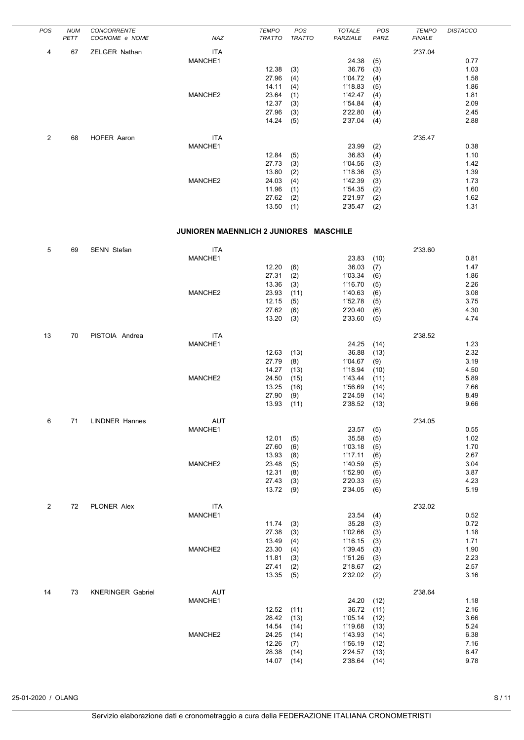| <b>POS</b> | <b>NUM</b> | <b>CONCORRENTE</b> |         | <b>TEMPO</b>  | POS           | <b>TOTALE</b> | <b>POS</b> | <b>TEMPO</b>  | <b>DISTACCO</b> |
|------------|------------|--------------------|---------|---------------|---------------|---------------|------------|---------------|-----------------|
|            | PETT       | COGNOME e NOME     | NAZ     | <b>TRATTO</b> | <b>TRATTO</b> | PARZIALE      | PARZ.      | <b>FINALE</b> |                 |
| 4          | 67         | ZELGER Nathan      | ITA     |               |               |               |            | 2'37.04       |                 |
|            |            |                    | MANCHE1 |               |               | 24.38         | (5)        |               | 0.77            |
|            |            |                    |         | 12.38         | (3)           | 36.76         | (3)        |               | 1.03            |
|            |            |                    |         | 27.96         | (4)           | 1'04.72       | (4)        |               | 1.58            |
|            |            |                    |         | 14.11         | (4)           | 1'18.83       | (5)        |               | 1.86            |
|            |            |                    | MANCHE2 | 23.64         | (1)           | 1'42.47       | (4)        |               | 1.81            |
|            |            |                    |         | 12.37         | (3)           | 1'54.84       | (4)        |               | 2.09            |
|            |            |                    |         | 27.96         | (3)           | 2'22.80       | (4)        |               | 2.45            |
|            |            |                    |         | 14.24         | (5)           | 2'37.04       | (4)        |               | 2.88            |
| 2          | 68         | HOFER Aaron        | ITA     |               |               |               |            | 2'35.47       |                 |
|            |            |                    | MANCHE1 |               |               | 23.99         | (2)        |               | 0.38            |
|            |            |                    |         | 12.84         | (5)           | 36.83         | (4)        |               | 1.10            |
|            |            |                    |         | 27.73         | (3)           | 1'04.56       | (3)        |               | 1.42            |
|            |            |                    |         | 13.80         | (2)           | 1'18.36       | (3)        |               | 1.39            |
|            |            |                    | MANCHE2 | 24.03         | (4)           | 1'42.39       | (3)        |               | 1.73            |
|            |            |                    |         | 11.96         | (1)           | 1'54.35       | (2)        |               | 1.60            |
|            |            |                    |         | 27.62         | (2)           | 2'21.97       | (2)        |               | 1.62            |
|            |            |                    |         | 13.50         | (1)           | 2'35.47       | (2)        |               | 1.31            |
|            |            |                    |         |               |               |               |            |               |                 |
|            |            |                    |         |               |               |               |            |               |                 |

# **JUNIOREN MAENNLICH 2 JUNIORES MASCHILE**

| 5              | 69 | SENN Stefan              | <b>ITA</b> |       |      |         |      | 2'33.60 |      |
|----------------|----|--------------------------|------------|-------|------|---------|------|---------|------|
|                |    |                          | MANCHE1    |       |      | 23.83   | (10) |         | 0.81 |
|                |    |                          |            | 12.20 | (6)  | 36.03   | (7)  |         | 1.47 |
|                |    |                          |            | 27.31 | (2)  | 1'03.34 | (6)  |         | 1.86 |
|                |    |                          |            | 13.36 | (3)  | 1'16.70 | (5)  |         | 2.26 |
|                |    |                          | MANCHE2    | 23.93 | (11) | 1'40.63 | (6)  |         | 3.08 |
|                |    |                          |            | 12.15 | (5)  | 1'52.78 | (5)  |         | 3.75 |
|                |    |                          |            | 27.62 | (6)  | 2'20.40 | (6)  |         | 4.30 |
|                |    |                          |            | 13.20 | (3)  | 2'33.60 |      |         | 4.74 |
|                |    |                          |            |       |      |         | (5)  |         |      |
| 13             | 70 | PISTOIA Andrea           | <b>ITA</b> |       |      |         |      | 2'38.52 |      |
|                |    |                          | MANCHE1    |       |      | 24.25   | (14) |         | 1.23 |
|                |    |                          |            | 12.63 | (13) | 36.88   | (13) |         | 2.32 |
|                |    |                          |            | 27.79 | (8)  | 1'04.67 | (9)  |         | 3.19 |
|                |    |                          |            | 14.27 | (13) | 1'18.94 | (10) |         | 4.50 |
|                |    |                          | MANCHE2    | 24.50 | (15) | 1'43.44 | (11) |         | 5.89 |
|                |    |                          |            | 13.25 | (16) | 1'56.69 | (14) |         | 7.66 |
|                |    |                          |            | 27.90 | (9)  | 2'24.59 | (14) |         | 8.49 |
|                |    |                          |            | 13.93 | (11) | 2'38.52 | (13) |         | 9.66 |
|                |    |                          |            |       |      |         |      |         |      |
| 6              | 71 | <b>LINDNER Hannes</b>    | <b>AUT</b> |       |      |         |      | 2'34.05 |      |
|                |    |                          | MANCHE1    |       |      | 23.57   | (5)  |         | 0.55 |
|                |    |                          |            | 12.01 | (5)  | 35.58   | (5)  |         | 1.02 |
|                |    |                          |            | 27.60 | (6)  | 1'03.18 | (5)  |         | 1.70 |
|                |    |                          |            | 13.93 | (8)  | 1'17.11 | (6)  |         | 2.67 |
|                |    |                          | MANCHE2    | 23.48 | (5)  | 1'40.59 | (5)  |         | 3.04 |
|                |    |                          |            | 12.31 | (8)  | 1'52.90 | (6)  |         | 3.87 |
|                |    |                          |            | 27.43 | (3)  | 2'20.33 | (5)  |         | 4.23 |
|                |    |                          |            | 13.72 | (9)  | 2'34.05 | (6)  |         | 5.19 |
|                |    |                          |            |       |      |         |      |         |      |
| $\overline{2}$ | 72 | PLONER Alex              | <b>ITA</b> |       |      |         |      | 2'32.02 |      |
|                |    |                          | MANCHE1    |       |      | 23.54   | (4)  |         | 0.52 |
|                |    |                          |            | 11.74 | (3)  | 35.28   | (3)  |         | 0.72 |
|                |    |                          |            | 27.38 | (3)  | 1'02.66 | (3)  |         | 1.18 |
|                |    |                          |            | 13.49 | (4)  | 1'16.15 | (3)  |         | 1.71 |
|                |    |                          | MANCHE2    | 23.30 | (4)  | 1'39.45 | (3)  |         | 1.90 |
|                |    |                          |            | 11.81 | (3)  | 1'51.26 | (3)  |         | 2.23 |
|                |    |                          |            | 27.41 | (2)  | 2'18.67 | (2)  |         | 2.57 |
|                |    |                          |            | 13.35 | (5)  | 2'32.02 | (2)  |         | 3.16 |
| 14             | 73 | <b>KNERINGER Gabriel</b> | AUT        |       |      |         |      | 2'38.64 |      |
|                |    |                          |            |       |      |         |      |         | 1.18 |
|                |    |                          | MANCHE1    |       |      | 24.20   | (12) |         | 2.16 |
|                |    |                          |            | 12.52 | (11) | 36.72   | (11) |         |      |
|                |    |                          |            | 28.42 | (13) | 1'05.14 | (12) |         | 3.66 |
|                |    |                          |            | 14.54 | (14) | 1'19.68 | (13) |         | 5.24 |
|                |    |                          | MANCHE2    | 24.25 | (14) | 1'43.93 | (14) |         | 6.38 |
|                |    |                          |            | 12.26 | (7)  | 1'56.19 | (12) |         | 7.16 |
|                |    |                          |            | 28.38 | (14) | 2'24.57 | (13) |         | 8.47 |
|                |    |                          |            | 14.07 | (14) | 2'38.64 | (14) |         | 9.78 |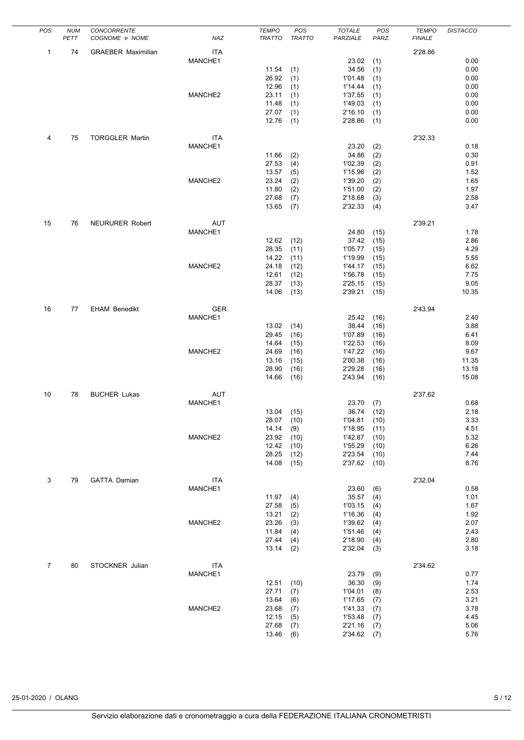| POS            | <b>NUM</b> | CONCORRENTE               |            | <b>TEMPO</b>  | POS           | <b>TOTALE</b> | POS   | <b>TEMPO</b>  | <b>DISTACCO</b> |
|----------------|------------|---------------------------|------------|---------------|---------------|---------------|-------|---------------|-----------------|
|                | PETT       | COGNOME e NOME            | NAZ        | <b>TRATTO</b> | <b>TRATTO</b> | PARZIALE      | PARZ. | <b>FINALE</b> |                 |
|                |            |                           |            |               |               |               |       |               |                 |
| 1              | 74         | <b>GRAEBER Maximilian</b> | <b>ITA</b> |               |               |               |       | 2'28.86       |                 |
|                |            |                           | MANCHE1    |               |               | 23.02         | (1)   |               | 0.00            |
|                |            |                           |            | 11.54         | (1)           | 34.56         | (1)   |               | 0.00            |
|                |            |                           |            | 26.92         | (1)           | 1'01.48       | (1)   |               | 0.00            |
|                |            |                           |            | 12.96         | (1)           | 1'14.44       | (1)   |               | 0.00            |
|                |            |                           | MANCHE2    | 23.11         | (1)           | 1'37.55       | (1)   |               | 0.00            |
|                |            |                           |            |               |               |               |       |               |                 |
|                |            |                           |            | 11.48         | (1)           | 1'49.03       | (1)   |               | 0.00            |
|                |            |                           |            | 27.07         | (1)           | 2'16.10       | (1)   |               | 0.00            |
|                |            |                           |            | 12.76         | (1)           | 2'28.86       | (1)   |               | 0.00            |
|                |            |                           |            |               |               |               |       |               |                 |
| 4              | 75         | <b>TORGGLER Martin</b>    | <b>ITA</b> |               |               |               |       | 2'32.33       |                 |
|                |            |                           | MANCHE1    |               |               | 23.20         | (2)   |               | 0.18            |
|                |            |                           |            | 11.66         | (2)           | 34.86         | (2)   |               | 0.30            |
|                |            |                           |            | 27.53         | (4)           | 1'02.39       | (2)   |               | 0.91            |
|                |            |                           |            | 13.57         | (5)           | 1'15.96       | (2)   |               | 1.52            |
|                |            |                           | MANCHE2    |               |               |               |       |               |                 |
|                |            |                           |            | 23.24         | (2)           | 1'39.20       | (2)   |               | 1.65            |
|                |            |                           |            | 11.80         | (2)           | 1'51.00       | (2)   |               | 1.97            |
|                |            |                           |            | 27.68         | (7)           | 2'18.68       | (3)   |               | 2.58            |
|                |            |                           |            | 13.65         | (7)           | 2'32.33       | (4)   |               | 3.47            |
|                |            |                           |            |               |               |               |       |               |                 |
| 15             | 76         | <b>NEURURER Robert</b>    | <b>AUT</b> |               |               |               |       | 2'39.21       |                 |
|                |            |                           | MANCHE1    |               |               | 24.80         | (15)  |               | 1.78            |
|                |            |                           |            | 12.62         | (12)          | 37.42         | (15)  |               | 2.86            |
|                |            |                           |            | 28.35         | (11)          | 1'05.77       | (15)  |               | 4.29            |
|                |            |                           |            |               |               |               |       |               | 5.55            |
|                |            |                           |            | 14.22         | (11)          | 1'19.99       | (15)  |               |                 |
|                |            |                           | MANCHE2    | 24.18         | (12)          | 1'44.17       | (15)  |               | 6.62            |
|                |            |                           |            | 12.61         | (12)          | 1'56.78       | (15)  |               | 7.75            |
|                |            |                           |            | 28.37         | (13)          | 2'25.15       | (15)  |               | 9.05            |
|                |            |                           |            | 14.06         | (13)          | 2'39.21       | (15)  |               | 10.35           |
|                |            |                           |            |               |               |               |       |               |                 |
| 16             | 77         | <b>EHAM Benedikt</b>      | <b>GER</b> |               |               |               |       | 2'43.94       |                 |
|                |            |                           | MANCHE1    |               |               | 25.42         | (16)  |               | 2.40            |
|                |            |                           |            | 13.02         | (14)          | 38.44         | (16)  |               | 3.88            |
|                |            |                           |            |               |               |               |       |               |                 |
|                |            |                           |            | 29.45         | (16)          | 1'07.89       | (16)  |               | 6.41            |
|                |            |                           |            | 14.64         | (15)          | 1'22.53       | (16)  |               | 8.09            |
|                |            |                           | MANCHE2    | 24.69         | (16)          | 1'47.22       | (16)  |               | 9.67            |
|                |            |                           |            | 13.16         | (15)          | 2'00.38       | (16)  |               | 11.35           |
|                |            |                           |            | 28.90         | (16)          | 2'29.28       | (16)  |               | 13.18           |
|                |            |                           |            | 14.66         | (16)          | 2'43.94       | (16)  |               | 15.08           |
|                |            |                           |            |               |               |               |       |               |                 |
| 10             | 78         | <b>BUCHER Lukas</b>       | AUT        |               |               |               |       | 2'37.62       |                 |
|                |            |                           | MANCHE1    |               |               | 23.70         |       |               | 0.68            |
|                |            |                           |            |               |               |               | (7)   |               |                 |
|                |            |                           |            | 13.04         | (15)          | 36.74         | (12)  |               | 2.18            |
|                |            |                           |            | 28.07         | (10)          | 1'04.81       | (10)  |               | 3.33            |
|                |            |                           |            | 14.14         | (9)           | 1'18.95       | (11)  |               | 4.51            |
|                |            |                           | MANCHE2    | 23.92         | (10)          | 1'42.87       | (10)  |               | 5.32            |
|                |            |                           |            | 12.42         | (10)          | 1'55.29       | (10)  |               | 6.26            |
|                |            |                           |            | 28.25         | (12)          | 2'23.54       | (10)  |               | 7.44            |
|                |            |                           |            | 14.08         | (15)          | 2'37.62       | (10)  |               | 8.76            |
|                |            |                           |            |               |               |               |       |               |                 |
| 3              | 79         | <b>GATTA Damian</b>       | ITA        |               |               |               |       | 2'32.04       |                 |
|                |            |                           | MANCHE1    |               |               | 23.60         |       |               | 0.58            |
|                |            |                           |            |               |               |               | (6)   |               |                 |
|                |            |                           |            | 11.97         | (4)           | 35.57         | (4)   |               | 1.01            |
|                |            |                           |            | 27.58         | (5)           | 1'03.15       | (4)   |               | 1.67            |
|                |            |                           |            | 13.21         | (2)           | 1'16.36       | (4)   |               | 1.92            |
|                |            |                           | MANCHE2    | 23.26         | (3)           | 1'39.62       | (4)   |               | 2.07            |
|                |            |                           |            | 11.84         | (4)           | 1'51.46       | (4)   |               | 2.43            |
|                |            |                           |            | 27.44         | (4)           | 2'18.90       | (4)   |               | 2.80            |
|                |            |                           |            | 13.14         | (2)           | 2'32.04       | (3)   |               | 3.18            |
|                |            |                           |            |               |               |               |       |               |                 |
| $\overline{7}$ | 80         | STOCKNER Julian           | ITA        |               |               |               |       | 2'34.62       |                 |
|                |            |                           |            |               |               |               |       |               | 0.77            |
|                |            |                           | MANCHE1    |               |               | 23.79         | (9)   |               |                 |
|                |            |                           |            | 12.51         | (10)          | 36.30         | (9)   |               | 1.74            |
|                |            |                           |            | 27.71         | (7)           | 1'04.01       | (8)   |               | 2.53            |
|                |            |                           |            | 13.64         | (6)           | 1'17.65       | (7)   |               | 3.21            |
|                |            |                           | MANCHE2    | 23.68         | (7)           | 1'41.33       | (7)   |               | 3.78            |
|                |            |                           |            | 12.15         | (5)           | 1'53.48       | (7)   |               | 4.45            |
|                |            |                           |            | 27.68         | (7)           | 2'21.16       | (7)   |               | 5.06            |
|                |            |                           |            | 13.46         | (6)           | 2'34.62       | (7)   |               | 5.76            |
|                |            |                           |            |               |               |               |       |               |                 |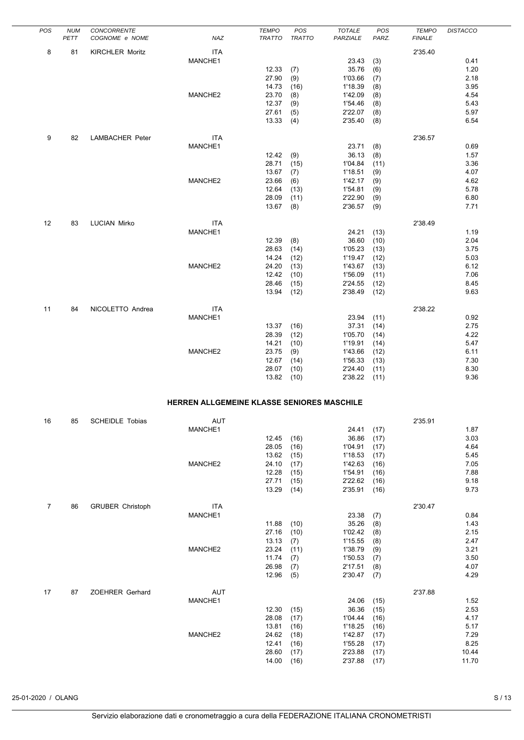| POS            | <b>NUM</b><br>PETT | CONCORRENTE<br>COGNOME e NOME | NAZ                                        | <b>TEMPO</b><br><b>TRATTO</b> | POS<br><b>TRATTO</b> | <b>TOTALE</b><br>PARZIALE | POS<br>PARZ. | <b>TEMPO</b><br><b>FINALE</b> | <b>DISTACCO</b> |
|----------------|--------------------|-------------------------------|--------------------------------------------|-------------------------------|----------------------|---------------------------|--------------|-------------------------------|-----------------|
| 8              | 81                 | <b>KIRCHLER Moritz</b>        | <b>ITA</b>                                 |                               |                      |                           |              | 2'35.40                       |                 |
|                |                    |                               | MANCHE1                                    |                               |                      | 23.43                     | (3)          |                               | 0.41            |
|                |                    |                               |                                            | 12.33                         | (7)                  | 35.76                     | (6)          |                               | 1.20            |
|                |                    |                               |                                            | 27.90<br>14.73                | (9)<br>(16)          | 1'03.66                   | (7)          |                               | 2.18<br>3.95    |
|                |                    |                               | MANCHE2                                    | 23.70                         | (8)                  | 1'18.39<br>1'42.09        | (8)<br>(8)   |                               | 4.54            |
|                |                    |                               |                                            | 12.37                         | (9)                  | 1'54.46                   | (8)          |                               | 5.43            |
|                |                    |                               |                                            | 27.61                         | (5)                  | 2'22.07                   | (8)          |                               | 5.97            |
|                |                    |                               |                                            | 13.33                         | (4)                  | 2'35.40                   | (8)          |                               | 6.54            |
| 9              | 82                 | <b>LAMBACHER Peter</b>        | <b>ITA</b>                                 |                               |                      |                           |              | 2'36.57                       |                 |
|                |                    |                               | MANCHE1                                    |                               |                      | 23.71                     | (8)          |                               | 0.69            |
|                |                    |                               |                                            | 12.42                         | (9)                  | 36.13                     | (8)          |                               | 1.57            |
|                |                    |                               |                                            | 28.71                         | (15)                 | 1'04.84                   | (11)         |                               | 3.36            |
|                |                    |                               | MANCHE2                                    | 13.67<br>23.66                | (7)<br>(6)           | 1'18.51<br>1'42.17        | (9)<br>(9)   |                               | 4.07<br>4.62    |
|                |                    |                               |                                            | 12.64                         | (13)                 | 1'54.81                   | (9)          |                               | 5.78            |
|                |                    |                               |                                            | 28.09                         | (11)                 | 2'22.90                   | (9)          |                               | 6.80            |
|                |                    |                               |                                            | 13.67                         | (8)                  | 2'36.57                   | (9)          |                               | 7.71            |
| 12             | 83                 | <b>LUCIAN Mirko</b>           | <b>ITA</b>                                 |                               |                      |                           |              | 2'38.49                       |                 |
|                |                    |                               | MANCHE1                                    |                               |                      | 24.21                     | (13)         |                               | 1.19            |
|                |                    |                               |                                            | 12.39                         | (8)                  | 36.60                     | (10)         |                               | 2.04            |
|                |                    |                               |                                            | 28.63                         | (14)                 | 1'05.23                   | (13)         |                               | 3.75            |
|                |                    |                               | MANCHE2                                    | 14.24<br>24.20                | (12)<br>(13)         | 1'19.47<br>1'43.67        | (12)<br>(13) |                               | 5.03<br>6.12    |
|                |                    |                               |                                            | 12.42                         | (10)                 | 1'56.09                   | (11)         |                               | 7.06            |
|                |                    |                               |                                            | 28.46                         | (15)                 | 2'24.55                   | (12)         |                               | 8.45            |
|                |                    |                               |                                            | 13.94                         | (12)                 | 2'38.49                   | (12)         |                               | 9.63            |
| 11             | 84                 | NICOLETTO Andrea              | <b>ITA</b>                                 |                               |                      |                           |              | 2'38.22                       |                 |
|                |                    |                               | MANCHE1                                    |                               |                      | 23.94                     | (11)         |                               | 0.92            |
|                |                    |                               |                                            | 13.37                         | (16)                 | 37.31                     | (14)         |                               | 2.75            |
|                |                    |                               |                                            | 28.39                         | (12)                 | 1'05.70                   | (14)         |                               | 4.22            |
|                |                    |                               |                                            | 14.21                         | (10)                 | 1'19.91                   | (14)         |                               | 5.47            |
|                |                    |                               | MANCHE2                                    | 23.75<br>12.67                | (9)<br>(14)          | 1'43.66<br>1'56.33        | (12)<br>(13) |                               | 6.11<br>7.30    |
|                |                    |                               |                                            | 28.07                         | (10)                 | 2'24.40                   | (11)         |                               | 8.30            |
|                |                    |                               |                                            | 13.82                         | (10)                 | 2'38.22                   | (11)         |                               | 9.36            |
|                |                    |                               | HERREN ALLGEMEINE KLASSE SENIORES MASCHILE |                               |                      |                           |              |                               |                 |
|                |                    |                               |                                            |                               |                      |                           |              |                               |                 |
| 16             | 85                 | <b>SCHEIDLE Tobias</b>        | AUT<br>MANCHE1                             |                               |                      | 24.41                     | (17)         | 2'35.91                       | 1.87            |
|                |                    |                               |                                            | 12.45                         | (16)                 | 36.86                     | (17)         |                               | 3.03            |
|                |                    |                               |                                            | 28.05                         | (16)                 | 1'04.91                   | (17)         |                               | 4.64            |
|                |                    |                               |                                            | 13.62                         | (15)                 | 1'18.53                   | (17)         |                               | 5.45            |
|                |                    |                               | MANCHE2                                    | 24.10<br>12.28                | (17)<br>(15)         | 1'42.63<br>1'54.91        | (16)<br>(16) |                               | 7.05<br>7.88    |
|                |                    |                               |                                            | 27.71                         | (15)                 | 2'22.62                   | (16)         |                               | 9.18            |
|                |                    |                               |                                            | 13.29                         | (14)                 | 2'35.91                   | (16)         |                               | 9.73            |
| $\overline{7}$ | 86                 | <b>GRUBER Christoph</b>       | <b>ITA</b>                                 |                               |                      |                           |              | 2'30.47                       |                 |
|                |                    |                               | MANCHE1                                    |                               |                      | 23.38                     | (7)          |                               | 0.84            |
|                |                    |                               |                                            | 11.88                         | (10)                 | 35.26                     | (8)          |                               | 1.43            |
|                |                    |                               |                                            | 27.16                         | (10)                 | 1'02.42                   | (8)          |                               | 2.15            |
|                |                    |                               |                                            | 13.13                         | (7)                  | 1'15.55                   | (8)          |                               | 2.47            |
|                |                    |                               | MANCHE2                                    | 23.24<br>11.74                | (11)<br>(7)          | 1'38.79<br>1'50.53        | (9)<br>(7)   |                               | 3.21<br>3.50    |
|                |                    |                               |                                            | 26.98                         | (7)                  | 2'17.51                   | (8)          |                               | 4.07            |
|                |                    |                               |                                            | 12.96                         | (5)                  | 2'30.47                   | (7)          |                               | 4.29            |
| 17             | 87                 | ZOEHRER Gerhard               | AUT                                        |                               |                      |                           |              | 2'37.88                       |                 |
|                |                    |                               | MANCHE1                                    |                               |                      | 24.06                     | (15)         |                               | 1.52            |
|                |                    |                               |                                            | 12.30                         | (15)                 | 36.36                     | (15)         |                               | 2.53            |
|                |                    |                               |                                            | 28.08                         | (17)                 | 1'04.44                   | (16)         |                               | 4.17            |
|                |                    |                               | MANCHE2                                    | 13.81<br>24.62                | (16)<br>(18)         | 1'18.25<br>1'42.87        | (16)<br>(17) |                               | 5.17<br>7.29    |
|                |                    |                               |                                            | 12.41                         | (16)                 | 1'55.28                   | (17)         |                               | 8.25            |
|                |                    |                               |                                            | 28.60                         | (17)                 | 2'23.88                   | (17)         |                               | 10.44           |
|                |                    |                               |                                            | 14.00                         | (16)                 | 2'37.88                   | (17)         |                               | 11.70           |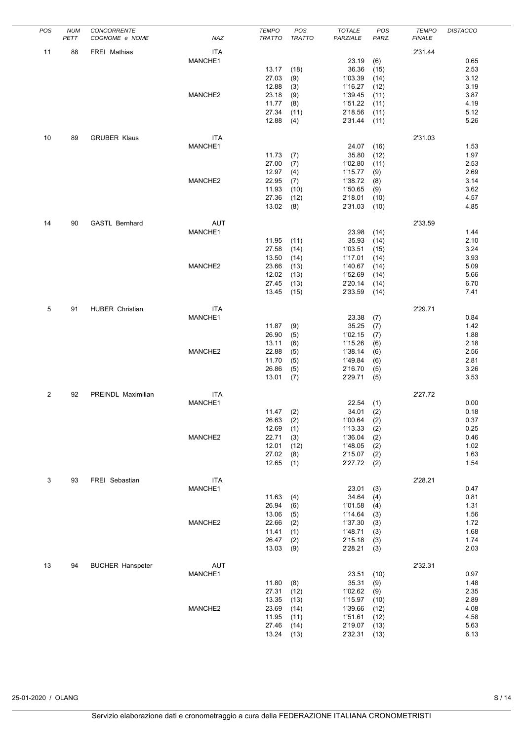| POS | <b>NUM</b> | CONCORRENTE             |            | <b>TEMPO</b>   | POS           | <b>TOTALE</b>      | POS        | <b>TEMPO</b>  | <b>DISTACCO</b> |
|-----|------------|-------------------------|------------|----------------|---------------|--------------------|------------|---------------|-----------------|
|     | PETT       | COGNOME e NOME          | NAZ        | <b>TRATTO</b>  | <b>TRATTO</b> | PARZIALE           | PARZ.      | <b>FINALE</b> |                 |
| 11  | 88         | <b>FREI Mathias</b>     | ITA        |                |               |                    |            | 2'31.44       |                 |
|     |            |                         | MANCHE1    |                |               | 23.19              | (6)        |               | 0.65            |
|     |            |                         |            | 13.17          | (18)          | 36.36              | (15)       |               | 2.53            |
|     |            |                         |            | 27.03          | (9)           | 1'03.39            | (14)       |               | 3.12            |
|     |            |                         |            | 12.88          | (3)           | 1'16.27            | (12)       |               | 3.19            |
|     |            |                         | MANCHE2    | 23.18          | (9)           | 1'39.45            | (11)       |               | 3.87            |
|     |            |                         |            | 11.77          | (8)           | 1'51.22            | (11)       |               | 4.19            |
|     |            |                         |            | 27.34          | (11)          | 2'18.56            | (11)       |               | 5.12            |
|     |            |                         |            | 12.88          | (4)           | 2'31.44            | (11)       |               | 5.26            |
|     |            |                         |            |                |               |                    |            |               |                 |
| 10  | 89         | <b>GRUBER Klaus</b>     | <b>ITA</b> |                |               |                    |            | 2'31.03       |                 |
|     |            |                         | MANCHE1    |                |               | 24.07              | (16)       |               | 1.53            |
|     |            |                         |            | 11.73          | (7)           | 35.80              | (12)       |               | 1.97            |
|     |            |                         |            | 27.00          | (7)           | 1'02.80            | (11)       |               | 2.53            |
|     |            |                         |            | 12.97          | (4)           | 1'15.77            | (9)        |               | 2.69            |
|     |            |                         | MANCHE2    | 22.95          | (7)           | 1'38.72            | (8)        |               | 3.14            |
|     |            |                         |            | 11.93          | (10)          | 1'50.65            | (9)        |               | 3.62            |
|     |            |                         |            | 27.36          | (12)          | 2'18.01            | (10)       |               | 4.57            |
|     |            |                         |            | 13.02          | (8)           | 2'31.03            | (10)       |               | 4.85            |
|     |            |                         |            |                |               |                    |            |               |                 |
| 14  | 90         | <b>GASTL Bernhard</b>   | <b>AUT</b> |                |               |                    |            | 2'33.59       |                 |
|     |            |                         | MANCHE1    |                |               | 23.98              | (14)       |               | 1.44            |
|     |            |                         |            | 11.95          | (11)          | 35.93              | (14)       |               | 2.10            |
|     |            |                         |            | 27.58          | (14)          | 1'03.51            | (15)       |               | 3.24            |
|     |            |                         |            | 13.50          | (14)          | 1'17.01            | (14)       |               | 3.93            |
|     |            |                         | MANCHE2    | 23.66          | (13)          | 1'40.67            | (14)       |               | 5.09            |
|     |            |                         |            | 12.02          | (13)          | 1'52.69            | (14)       |               | 5.66            |
|     |            |                         |            | 27.45          | (13)          | 2'20.14            | (14)       |               | 6.70            |
|     |            |                         |            | 13.45          | (15)          | 2'33.59            | (14)       |               | 7.41            |
|     |            |                         |            |                |               |                    |            |               |                 |
| 5   | 91         | <b>HUBER Christian</b>  | <b>ITA</b> |                |               |                    |            | 2'29.71       |                 |
|     |            |                         | MANCHE1    |                |               | 23.38              | (7)        |               | 0.84            |
|     |            |                         |            | 11.87          | (9)           | 35.25              | (7)        |               | 1.42            |
|     |            |                         |            | 26.90          | (5)           | 1'02.15            | (7)        |               | 1.88            |
|     |            |                         |            | 13.11          | (6)           | 1'15.26            | (6)        |               | 2.18            |
|     |            |                         | MANCHE2    | 22.88          | (5)           | 1'38.14            | (6)        |               | 2.56            |
|     |            |                         |            | 11.70          | (5)           | 1'49.84            | (6)        |               | 2.81            |
|     |            |                         |            | 26.86          | (5)           | 2'16.70            | (5)        |               | 3.26            |
|     |            |                         |            | 13.01          | (7)           | 2'29.71            | (5)        |               | 3.53            |
|     |            |                         |            |                |               |                    |            |               |                 |
| 2   | 92         | PREINDL Maximilian      | ITA        |                |               |                    |            | 2'27.72       |                 |
|     |            |                         | MANCHE1    |                |               | 22.54              | (1)        |               | 0.00            |
|     |            |                         |            | 11.47          | (2)           | 34.01              | (2)        |               | 0.18            |
|     |            |                         |            | 26.63          | (2)           | 1'00.64            | (2)        |               | 0.37            |
|     |            |                         | MANCHE2    | 12.69<br>22.71 | (1)           | 1'13.33<br>1'36.04 | (2)        |               | 0.25<br>0.46    |
|     |            |                         |            | 12.01          | (3)           | 1'48.05            | (2)        |               | 1.02            |
|     |            |                         |            | 27.02          | (12)<br>(8)   | 2'15.07            | (2)<br>(2) |               | 1.63            |
|     |            |                         |            | 12.65          | (1)           | 2'27.72            | (2)        |               | 1.54            |
|     |            |                         |            |                |               |                    |            |               |                 |
| 3   | 93         | FREI Sebastian          | <b>ITA</b> |                |               |                    |            | 2'28.21       |                 |
|     |            |                         | MANCHE1    |                |               | 23.01              | (3)        |               | 0.47            |
|     |            |                         |            | 11.63          | (4)           | 34.64              | (4)        |               | 0.81            |
|     |            |                         |            | 26.94          | (6)           | 1'01.58            | (4)        |               | 1.31            |
|     |            |                         |            | 13.06          | (5)           | 1'14.64            | (3)        |               | 1.56            |
|     |            |                         | MANCHE2    | 22.66          | (2)           | 1'37.30            | (3)        |               | 1.72            |
|     |            |                         |            | 11.41          | (1)           | 1'48.71            | (3)        |               | 1.68            |
|     |            |                         |            | 26.47          | (2)           | 2'15.18            | (3)        |               | 1.74            |
|     |            |                         |            | 13.03          | (9)           | 2'28.21            | (3)        |               | 2.03            |
|     |            |                         |            |                |               |                    |            |               |                 |
| 13  | 94         | <b>BUCHER Hanspeter</b> | AUT        |                |               |                    |            | 2'32.31       |                 |
|     |            |                         | MANCHE1    |                |               | 23.51              | (10)       |               | 0.97            |
|     |            |                         |            | 11.80          | (8)           | 35.31              | (9)        |               | 1.48            |
|     |            |                         |            | 27.31          | (12)          | 1'02.62            | (9)        |               | 2.35            |
|     |            |                         |            | 13.35          | (13)          | 1'15.97            | (10)       |               | 2.89            |
|     |            |                         | MANCHE2    | 23.69          | (14)          | 1'39.66            | (12)       |               | 4.08            |
|     |            |                         |            | 11.95          | (11)          | 1'51.61            | (12)       |               | 4.58            |
|     |            |                         |            | 27.46          | (14)          | 2'19.07            | (13)       |               | 5.63            |
|     |            |                         |            | 13.24          | (13)          | 2'32.31            | (13)       |               | 6.13            |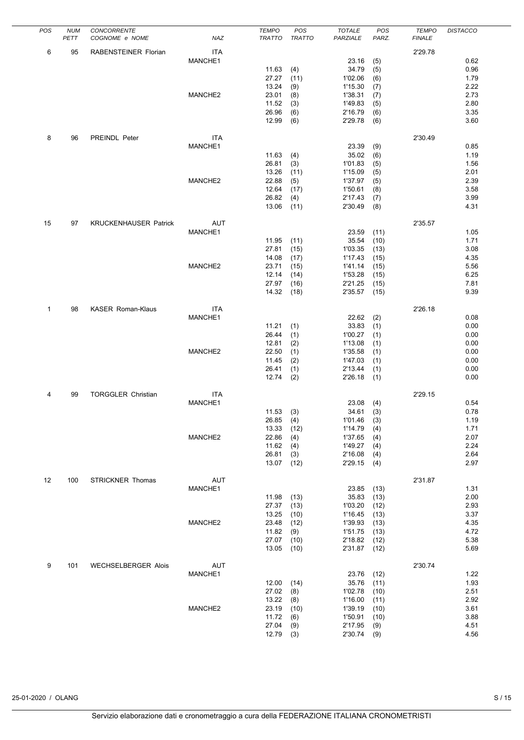| POS | <b>NUM</b> | <b>CONCORRENTE</b>           |            | <b>TEMPO</b>  | POS           | <b>TOTALE</b> | POS   | <b>TEMPO</b>  | <b>DISTACCO</b> |
|-----|------------|------------------------------|------------|---------------|---------------|---------------|-------|---------------|-----------------|
|     | PETT       | COGNOME e NOME               | NAZ        | <b>TRATTO</b> | <b>TRATTO</b> | PARZIALE      | PARZ. | <b>FINALE</b> |                 |
|     |            |                              |            |               |               |               |       |               |                 |
| 6   | 95         | RABENSTEINER Florian         | <b>ITA</b> |               |               |               |       | 2'29.78       |                 |
|     |            |                              | MANCHE1    |               |               | 23.16         | (5)   |               | 0.62            |
|     |            |                              |            | 11.63         | (4)           | 34.79         | (5)   |               | 0.96            |
|     |            |                              |            | 27.27         | (11)          | 1'02.06       | (6)   |               | 1.79            |
|     |            |                              |            | 13.24         | (9)           | 1'15.30       | (7)   |               | 2.22            |
|     |            |                              | MANCHE2    | 23.01         | (8)           | 1'38.31       | (7)   |               | 2.73            |
|     |            |                              |            | 11.52         | (3)           | 1'49.83       | (5)   |               | 2.80            |
|     |            |                              |            | 26.96         | (6)           | 2'16.79       | (6)   |               | 3.35            |
|     |            |                              |            |               |               |               |       |               |                 |
|     |            |                              |            | 12.99         | (6)           | 2'29.78       | (6)   |               | 3.60            |
|     |            |                              |            |               |               |               |       |               |                 |
| 8   | 96         | PREINDL Peter                | <b>ITA</b> |               |               |               |       | 2'30.49       |                 |
|     |            |                              | MANCHE1    |               |               | 23.39         | (9)   |               | 0.85            |
|     |            |                              |            | 11.63         | (4)           | 35.02         | (6)   |               | 1.19            |
|     |            |                              |            | 26.81         | (3)           | 1'01.83       | (5)   |               | 1.56            |
|     |            |                              |            | 13.26         | (11)          | 1'15.09       | (5)   |               | 2.01            |
|     |            |                              | MANCHE2    | 22.88         | (5)           | 1'37.97       | (5)   |               | 2.39            |
|     |            |                              |            | 12.64         | (17)          | 1'50.61       | (8)   |               | 3.58            |
|     |            |                              |            |               |               |               |       |               |                 |
|     |            |                              |            | 26.82         | (4)           | 2'17.43       | (7)   |               | 3.99            |
|     |            |                              |            | 13.06         | (11)          | 2'30.49       | (8)   |               | 4.31            |
|     |            |                              |            |               |               |               |       |               |                 |
| 15  | 97         | <b>KRUCKENHAUSER Patrick</b> | AUT        |               |               |               |       | 2'35.57       |                 |
|     |            |                              | MANCHE1    |               |               | 23.59         | (11)  |               | 1.05            |
|     |            |                              |            | 11.95         | (11)          | 35.54         | (10)  |               | 1.71            |
|     |            |                              |            | 27.81         | (15)          | 1'03.35       | (13)  |               | 3.08            |
|     |            |                              |            | 14.08         | (17)          | 1'17.43       | (15)  |               | 4.35            |
|     |            |                              | MANCHE2    | 23.71         | (15)          | 1'41.14       | (15)  |               | 5.56            |
|     |            |                              |            |               |               |               |       |               |                 |
|     |            |                              |            | 12.14         | (14)          | 1'53.28       | (15)  |               | 6.25            |
|     |            |                              |            | 27.97         | (16)          | 2'21.25       | (15)  |               | 7.81            |
|     |            |                              |            | 14.32         | (18)          | 2'35.57       | (15)  |               | 9.39            |
|     |            |                              |            |               |               |               |       |               |                 |
| 1   | 98         | <b>KASER Roman-Klaus</b>     | <b>ITA</b> |               |               |               |       | 2'26.18       |                 |
|     |            |                              | MANCHE1    |               |               | 22.62         | (2)   |               | 0.08            |
|     |            |                              |            | 11.21         | (1)           | 33.83         | (1)   |               | 0.00            |
|     |            |                              |            | 26.44         | (1)           | 1'00.27       | (1)   |               | 0.00            |
|     |            |                              |            | 12.81         | (2)           | 1'13.08       | (1)   |               | 0.00            |
|     |            |                              | MANCHE2    |               |               |               |       |               |                 |
|     |            |                              |            | 22.50         | (1)           | 1'35.58       | (1)   |               | 0.00            |
|     |            |                              |            | 11.45         | (2)           | 1'47.03       | (1)   |               | 0.00            |
|     |            |                              |            | 26.41         | (1)           | 2'13.44       | (1)   |               | 0.00            |
|     |            |                              |            | 12.74         | (2)           | 2'26.18       | (1)   |               | 0.00            |
|     |            |                              |            |               |               |               |       |               |                 |
| 4   | 99         | <b>TORGGLER Christian</b>    | ITA        |               |               |               |       | 2'29.15       |                 |
|     |            |                              | MANCHE1    |               |               | 23.08         | (4)   |               | 0.54            |
|     |            |                              |            | 11.53         | (3)           | 34.61         | (3)   |               | 0.78            |
|     |            |                              |            | 26.85         | (4)           | 1'01.46       | (3)   |               | 1.19            |
|     |            |                              |            | 13.33         |               | 1'14.79       |       |               | 1.71            |
|     |            |                              | MANCHE2    |               | (12)          |               | (4)   |               |                 |
|     |            |                              |            | 22.86         | (4)           | 1'37.65       | (4)   |               | 2.07            |
|     |            |                              |            | 11.62         | (4)           | 1'49.27       | (4)   |               | 2.24            |
|     |            |                              |            | 26.81         | (3)           | 2'16.08       | (4)   |               | 2.64            |
|     |            |                              |            | 13.07         | (12)          | 2'29.15       | (4)   |               | 2.97            |
|     |            |                              |            |               |               |               |       |               |                 |
| 12  | 100        | <b>STRICKNER Thomas</b>      | AUT        |               |               |               |       | 2'31.87       |                 |
|     |            |                              | MANCHE1    |               |               | 23.85         | (13)  |               | 1.31            |
|     |            |                              |            | 11.98         | (13)          | 35.83         | (13)  |               | 2.00            |
|     |            |                              |            | 27.37         | (13)          | 1'03.20       | (12)  |               | 2.93            |
|     |            |                              |            | 13.25         | (10)          | 1'16.45       |       |               | 3.37            |
|     |            |                              |            |               |               |               | (13)  |               |                 |
|     |            |                              | MANCHE2    | 23.48         | (12)          | 1'39.93       | (13)  |               | 4.35            |
|     |            |                              |            | 11.82         | (9)           | 1'51.75       | (13)  |               | 4.72            |
|     |            |                              |            | 27.07         | (10)          | 2'18.82       | (12)  |               | 5.38            |
|     |            |                              |            | 13.05         | (10)          | 2'31.87       | (12)  |               | 5.69            |
|     |            |                              |            |               |               |               |       |               |                 |
| 9   | 101        | <b>WECHSELBERGER Alois</b>   | AUT        |               |               |               |       | 2'30.74       |                 |
|     |            |                              | MANCHE1    |               |               | 23.76         | (12)  |               | 1.22            |
|     |            |                              |            | 12.00         | (14)          | 35.76         | (11)  |               | 1.93            |
|     |            |                              |            | 27.02         | (8)           | 1'02.78       | (10)  |               | 2.51            |
|     |            |                              |            |               |               |               |       |               |                 |
|     |            |                              |            | 13.22         | (8)           | 1'16.00       | (11)  |               | 2.92            |
|     |            |                              | MANCHE2    | 23.19         | (10)          | 1'39.19       | (10)  |               | 3.61            |
|     |            |                              |            | 11.72         | (6)           | 1'50.91       | (10)  |               | 3.88            |
|     |            |                              |            | 27.04         | (9)           | 2'17.95       | (9)   |               | 4.51            |
|     |            |                              |            | 12.79         | (3)           | 2'30.74       | (9)   |               | 4.56            |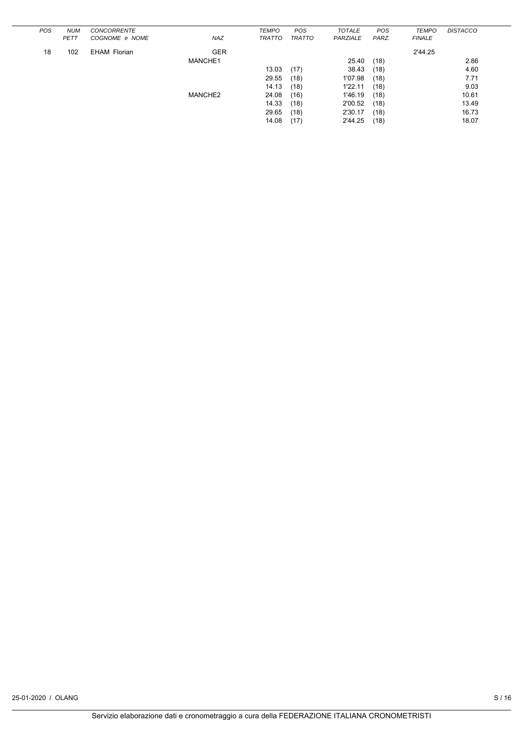| <b>POS</b> | <b>NUM</b>  | <b>CONCORRENTE</b>  |            | <b>TEMPO</b>  | POS           | <b>TOTALE</b> | POS   | <b>TEMPO</b>  | <b>DISTACCO</b> |
|------------|-------------|---------------------|------------|---------------|---------------|---------------|-------|---------------|-----------------|
|            | <b>PETT</b> | COGNOME e NOME      | <b>NAZ</b> | <b>TRATTO</b> | <b>TRATTO</b> | PARZIALE      | PARZ. | <b>FINALE</b> |                 |
| 18         | 102         | <b>EHAM Florian</b> | <b>GER</b> |               |               |               |       | 2'44.25       |                 |
|            |             |                     | MANCHE1    |               |               | 25.40         | (18)  |               | 2.86            |
|            |             |                     |            | 13.03         | (17)          | 38.43         | (18)  |               | 4.60            |
|            |             |                     |            | 29.55         | (18)          | 1'07.98       | (18)  |               | 7.71            |
|            |             |                     |            | 14.13         | (18)          | 1'22.11       | (18)  |               | 9.03            |
|            |             |                     | MANCHE2    | 24.08         | (16)          | 1'46.19       | (18)  |               | 10.61           |
|            |             |                     |            | 14.33         | (18)          | 2'00.52       | (18)  |               | 13.49           |
|            |             |                     |            | 29.65         | (18)          | 2'30.17       | (18)  |               | 16.73           |
|            |             |                     |            | 14.08         | (17)          | 2'44.25       | (18)  |               | 18.07           |